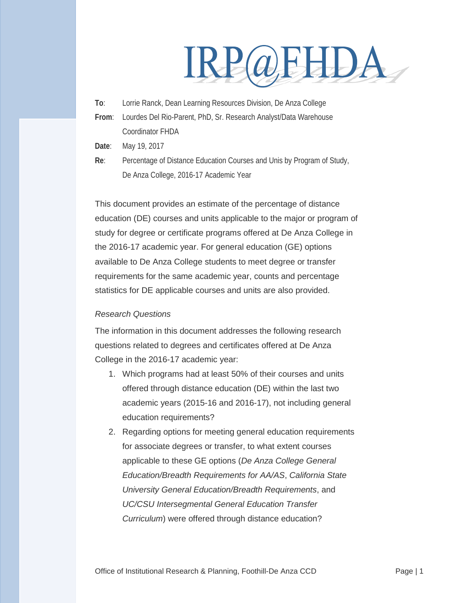# IRP@EHDA

**To**: Lorrie Ranck, Dean Learning Resources Division, De Anza College

- **From**: Lourdes Del Rio-Parent, PhD, Sr. Research Analyst/Data Warehouse Coordinator FHDA
- **Date**: May 19, 2017
- **Re**: Percentage of Distance Education Courses and Unis by Program of Study, De Anza College, 2016-17 Academic Year

This document provides an estimate of the percentage of distance education (DE) courses and units applicable to the major or program of study for degree or certificate programs offered at De Anza College in the 2016-17 academic year. For general education (GE) options available to De Anza College students to meet degree or transfer requirements for the same academic year, counts and percentage statistics for DE applicable courses and units are also provided.

#### *Research Questions*

The information in this document addresses the following research questions related to degrees and certificates offered at De Anza College in the 2016-17 academic year:

- 1. Which programs had at least 50% of their courses and units offered through distance education (DE) within the last two academic years (2015-16 and 2016-17), not including general education requirements?
- 2. Regarding options for meeting general education requirements for associate degrees or transfer, to what extent courses applicable to these GE options (*De Anza College General Education/Breadth Requirements for AA/AS*, *California State University General Education/Breadth Requirements*, and *UC/CSU Intersegmental General Education Transfer Curriculum*) were offered through distance education?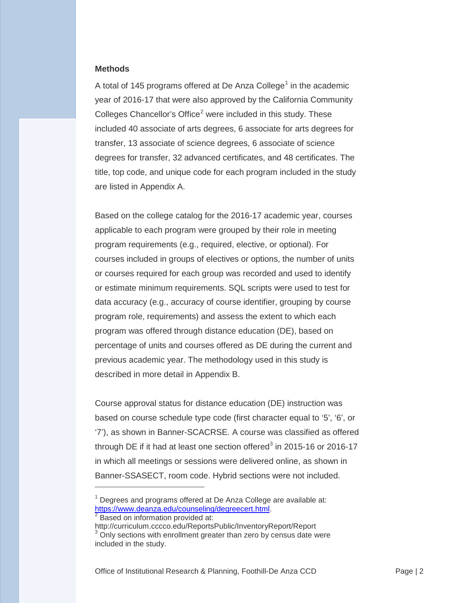#### **Methods**

A total of [1](#page-1-0)45 programs offered at De Anza College<sup>1</sup> in the academic year of 2016-17 that were also approved by the California Community Colleges Chancellor's Office<sup>[2](#page-1-1)</sup> were included in this study. These included 40 associate of arts degrees, 6 associate for arts degrees for transfer, 13 associate of science degrees, 6 associate of science degrees for transfer, 32 advanced certificates, and 48 certificates. The title, top code, and unique code for each program included in the study are listed in Appendix A.

Based on the college catalog for the 2016-17 academic year, courses applicable to each program were grouped by their role in meeting program requirements (e.g., required, elective, or optional). For courses included in groups of electives or options, the number of units or courses required for each group was recorded and used to identify or estimate minimum requirements. SQL scripts were used to test for data accuracy (e.g., accuracy of course identifier, grouping by course program role, requirements) and assess the extent to which each program was offered through distance education (DE), based on percentage of units and courses offered as DE during the current and previous academic year. The methodology used in this study is described in more detail in Appendix B.

Course approval status for distance education (DE) instruction was based on course schedule type code (first character equal to '5', '6', or '7'), as shown in Banner-SCACRSE. A course was classified as offered through DE if it had at least one section offered<sup>[3](#page-1-2)</sup> in 2015-16 or 2016-17 in which all meetings or sessions were delivered online, as shown in Banner-SSASECT, room code. Hybrid sections were not included.

<u>.</u>

<span id="page-1-0"></span> $1$  Degrees and programs offered at De Anza College are available at: [https://www.deanza.edu/counseling/degreecert.html.](https://www.deanza.edu/counseling/degreecert.html)<br><sup>2</sup> Based on information provided at:

<span id="page-1-1"></span>

<span id="page-1-2"></span>http://curriculum.cccco.edu/ReportsPublic/InventoryReport/Report  $3$  Only sections with enrollment greater than zero by census date were included in the study.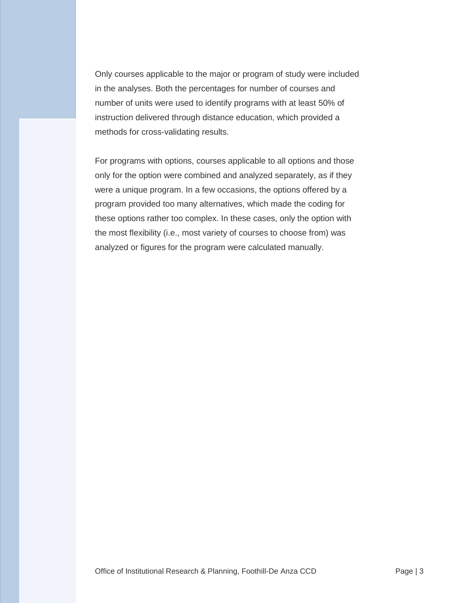Only courses applicable to the major or program of study were included in the analyses. Both the percentages for number of courses and number of units were used to identify programs with at least 50% of instruction delivered through distance education, which provided a methods for cross-validating results.

For programs with options, courses applicable to all options and those only for the option were combined and analyzed separately, as if they were a unique program. In a few occasions, the options offered by a program provided too many alternatives, which made the coding for these options rather too complex. In these cases, only the option with the most flexibility (i.e., most variety of courses to choose from) was analyzed or figures for the program were calculated manually.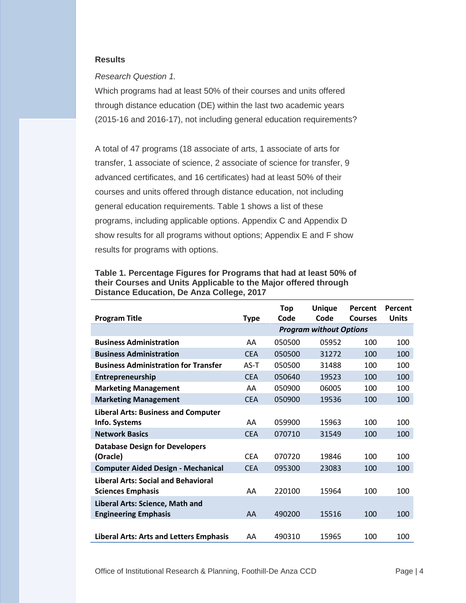#### **Results**

#### *Research Question 1.*

Which programs had at least 50% of their courses and units offered through distance education (DE) within the last two academic years (2015-16 and 2016-17), not including general education requirements?

A total of 47 programs (18 associate of arts, 1 associate of arts for transfer, 1 associate of science, 2 associate of science for transfer, 9 advanced certificates, and 16 certificates) had at least 50% of their courses and units offered through distance education, not including general education requirements. Table 1 shows a list of these programs, including applicable options. Appendix C and Appendix D show results for all programs without options; Appendix E and F show results for programs with options.

|                                                |             | <b>Top</b> | <b>Unique</b>                  | Percent        | Percent      |
|------------------------------------------------|-------------|------------|--------------------------------|----------------|--------------|
| <b>Program Title</b>                           | <b>Type</b> | Code       | Code                           | <b>Courses</b> | <b>Units</b> |
|                                                |             |            | <b>Program without Options</b> |                |              |
| <b>Business Administration</b>                 | AA          | 050500     | 05952                          | 100            | 100          |
| <b>Business Administration</b>                 | <b>CEA</b>  | 050500     | 31272                          | 100            | 100          |
| <b>Business Administration for Transfer</b>    | $AS-T$      | 050500     | 31488                          | 100            | 100          |
| Entrepreneurship                               | <b>CEA</b>  | 050640     | 19523                          | 100            | 100          |
| <b>Marketing Management</b>                    | AA          | 050900     | 06005                          | 100            | 100          |
| <b>Marketing Management</b>                    | <b>CEA</b>  | 050900     | 19536                          | 100            | 100          |
| <b>Liberal Arts: Business and Computer</b>     |             |            |                                |                |              |
| Info. Systems                                  | AA          | 059900     | 15963                          | 100            | 100          |
| <b>Network Basics</b>                          | <b>CEA</b>  | 070710     | 31549                          | 100            | 100          |
| <b>Database Design for Developers</b>          |             |            |                                |                |              |
| (Oracle)                                       | <b>CFA</b>  | 070720     | 19846                          | 100            | 100          |
| <b>Computer Aided Design - Mechanical</b>      | <b>CEA</b>  | 095300     | 23083                          | 100            | 100          |
| <b>Liberal Arts: Social and Behavioral</b>     |             |            |                                |                |              |
| <b>Sciences Emphasis</b>                       | AA          | 220100     | 15964                          | 100            | 100          |
| Liberal Arts: Science, Math and                |             |            |                                |                |              |
| <b>Engineering Emphasis</b>                    | AA          | 490200     | 15516                          | 100            | 100          |
|                                                |             |            |                                |                |              |
| <b>Liberal Arts: Arts and Letters Emphasis</b> | AA          | 490310     | 15965                          | 100            | 100          |

**Table 1. Percentage Figures for Programs that had at least 50% of their Courses and Units Applicable to the Major offered through Distance Education, De Anza College, 2017**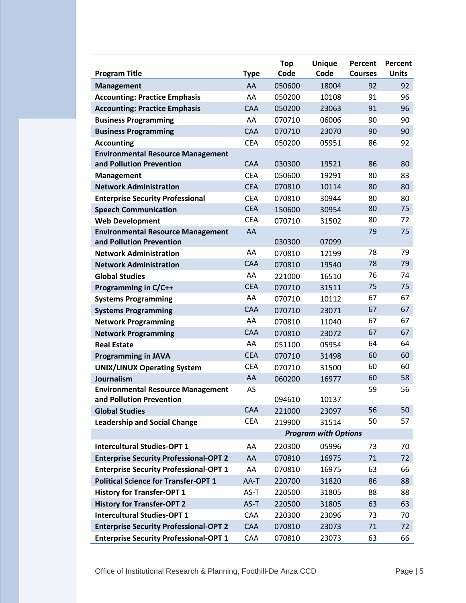| <b>Program Title</b>                                                 | <b>Type</b> | <b>Top</b><br>Code | <b>Unique</b><br>Code       | Percent<br><b>Courses</b> | Percent<br><b>Units</b> |
|----------------------------------------------------------------------|-------------|--------------------|-----------------------------|---------------------------|-------------------------|
| <b>Management</b>                                                    | AA          | 050600             | 18004                       | 92                        | 92                      |
| <b>Accounting: Practice Emphasis</b>                                 | AA          | 050200             | 10108                       | 91                        | 96                      |
| <b>Accounting: Practice Emphasis</b>                                 | <b>CAA</b>  | 050200             | 23063                       | 91                        | 96                      |
| <b>Business Programming</b>                                          | AA          | 070710             | 06006                       | 90                        | 90                      |
| <b>Business Programming</b>                                          | <b>CAA</b>  | 070710             | 23070                       | 90                        | 90                      |
| <b>Accounting</b>                                                    | <b>CEA</b>  | 050200             | 05951                       | 86                        | 92                      |
| <b>Environmental Resource Management</b>                             |             |                    |                             |                           |                         |
| and Pollution Prevention                                             | <b>CAA</b>  | 030300             | 19521                       | 86                        | 80                      |
| <b>Management</b>                                                    | <b>CEA</b>  | 050600             | 19291                       | 80                        | 83                      |
| <b>Network Administration</b>                                        | <b>CEA</b>  | 070810             | 10114                       | 80                        | 80                      |
| <b>Enterprise Security Professional</b>                              | <b>CEA</b>  | 070810             | 30944                       | 80                        | 80                      |
| <b>Speech Communication</b>                                          | <b>CEA</b>  | 150600             | 30954                       | 80                        | 75                      |
| <b>Web Development</b>                                               | <b>CEA</b>  | 070710             | 31502                       | 80                        | 72                      |
| <b>Environmental Resource Management</b><br>and Pollution Prevention | AA          | 030300             | 07099                       | 79                        | 75                      |
| <b>Network Administration</b>                                        | AA          | 070810             | 12199                       | 78                        | 79                      |
| <b>Network Administration</b>                                        | <b>CAA</b>  | 070810             | 19540                       | 78                        | 79                      |
| <b>Global Studies</b>                                                | AA          | 221000             | 16510                       | 76                        | 74                      |
| Programming in C/C++                                                 | <b>CEA</b>  | 070710             | 31511                       | 75                        | 75                      |
| <b>Systems Programming</b>                                           | AA          | 070710             | 10112                       | 67                        | 67                      |
| <b>Systems Programming</b>                                           | <b>CAA</b>  | 070710             | 23071                       | 67                        | 67                      |
| <b>Network Programming</b>                                           | AA          | 070810             | 11040                       | 67                        | 67                      |
| <b>Network Programming</b>                                           | <b>CAA</b>  | 070810             | 23072                       | 67                        | 67                      |
| <b>Real Estate</b>                                                   | AA          | 051100             | 05954                       | 64                        | 64                      |
| <b>Programming in JAVA</b>                                           | <b>CEA</b>  | 070710             | 31498                       | 60                        | 60                      |
| <b>UNIX/LINUX Operating System</b>                                   | <b>CEA</b>  | 070710             | 31500                       | 60                        | 60                      |
| <b>Journalism</b>                                                    | AA          | 060200             | 16977                       | 60                        | 58                      |
| <b>Environmental Resource Management</b>                             | AS          |                    |                             | 59                        | 56                      |
| and Pollution Prevention                                             |             | 094610             | 10137                       |                           |                         |
| <b>Global Studies</b>                                                | CAA         | 221000             | 23097                       | 56                        | 50                      |
| <b>Leadership and Social Change</b>                                  | <b>CEA</b>  | 219900             | 31514                       | 50                        | 57                      |
|                                                                      |             |                    | <b>Program with Options</b> |                           |                         |
| <b>Intercultural Studies-OPT 1</b>                                   | AA          | 220300             | 05996                       | 73                        | 70                      |
| <b>Enterprise Security Professional-OPT 2</b>                        | AA          | 070810             | 16975                       | 71                        | 72                      |
| <b>Enterprise Security Professional-OPT 1</b>                        | AA          | 070810             | 16975                       | 63                        | 66                      |
| <b>Political Science for Transfer-OPT 1</b>                          | AA-T        | 220700             | 31820                       | 86                        | 88                      |
| <b>History for Transfer-OPT 1</b>                                    | AS-T        | 220500             | 31805                       | 88                        | 88                      |
| <b>History for Transfer-OPT 2</b>                                    | AS-T        | 220500             | 31805                       | 63                        | 63                      |
| <b>Intercultural Studies-OPT 1</b>                                   | CAA         | 220300             | 23096                       | 73                        | 70                      |
| <b>Enterprise Security Professional-OPT 2</b>                        | CAA         | 070810             | 23073                       | 71                        | 72                      |
| <b>Enterprise Security Professional-OPT 1</b>                        | CAA         | 070810             | 23073                       | 63                        | 66                      |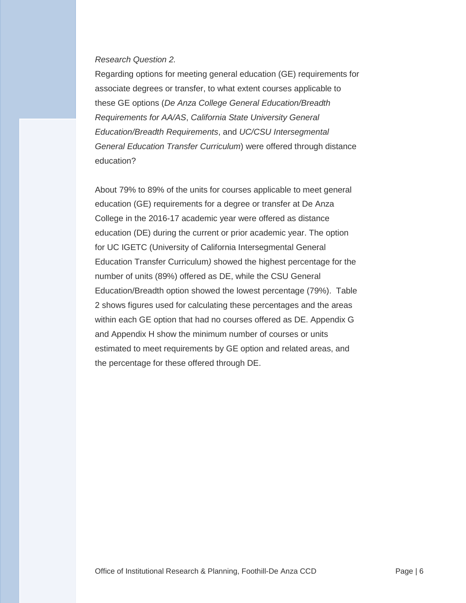#### *Research Question 2.*

Regarding options for meeting general education (GE) requirements for associate degrees or transfer, to what extent courses applicable to these GE options (*De Anza College General Education/Breadth Requirements for AA/AS*, *California State University General Education/Breadth Requirements*, and *UC/CSU Intersegmental General Education Transfer Curriculum*) were offered through distance education?

About 79% to 89% of the units for courses applicable to meet general education (GE) requirements for a degree or transfer at De Anza College in the 2016-17 academic year were offered as distance education (DE) during the current or prior academic year. The option for UC IGETC (University of California Intersegmental General Education Transfer Curriculum*)* showed the highest percentage for the number of units (89%) offered as DE, while the CSU General Education/Breadth option showed the lowest percentage (79%). Table 2 shows figures used for calculating these percentages and the areas within each GE option that had no courses offered as DE. Appendix G and Appendix H show the minimum number of courses or units estimated to meet requirements by GE option and related areas, and the percentage for these offered through DE.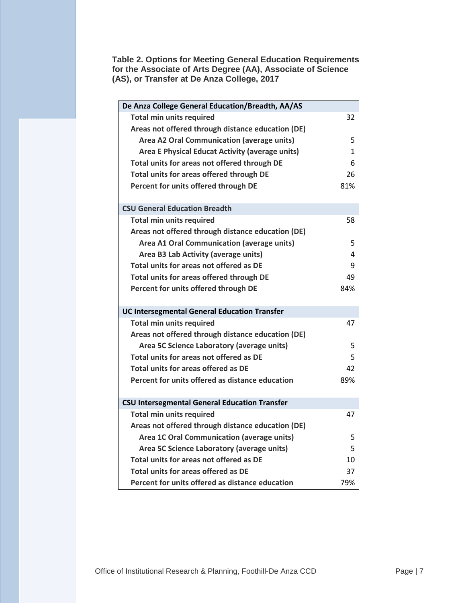**Table 2. Options for Meeting General Education Requirements for the Associate of Arts Degree (AA), Associate of Science (AS), or Transfer at De Anza College, 2017**

| De Anza College General Education/Breadth, AA/AS     |              |
|------------------------------------------------------|--------------|
| <b>Total min units required</b>                      | 32           |
| Areas not offered through distance education (DE)    |              |
| <b>Area A2 Oral Communication (average units)</b>    | 5            |
| Area E Physical Educat Activity (average units)      | $\mathbf{1}$ |
| Total units for areas not offered through DE         | 6            |
| Total units for areas offered through DE             | 26           |
| Percent for units offered through DE                 | 81%          |
|                                                      |              |
| <b>CSU General Education Breadth</b>                 |              |
| <b>Total min units required</b>                      | 58           |
| Areas not offered through distance education (DE)    |              |
| Area A1 Oral Communication (average units)           | 5            |
| Area B3 Lab Activity (average units)                 | 4            |
| Total units for areas not offered as DE              | 9            |
| Total units for areas offered through DE             | 49           |
| Percent for units offered through DE                 | 84%          |
|                                                      |              |
| <b>UC Intersegmental General Education Transfer</b>  |              |
| <b>Total min units required</b>                      | 47           |
| Areas not offered through distance education (DE)    |              |
| Area 5C Science Laboratory (average units)           | 5            |
| Total units for areas not offered as DE              | 5            |
| <b>Total units for areas offered as DE</b>           | 42           |
| Percent for units offered as distance education      | 89%          |
|                                                      |              |
| <b>CSU Intersegmental General Education Transfer</b> |              |
| <b>Total min units required</b>                      | 47           |
| Areas not offered through distance education (DE)    |              |
| <b>Area 1C Oral Communication (average units)</b>    | 5            |
| Area 5C Science Laboratory (average units)           | 5            |
| Total units for areas not offered as DE              | 10           |
| <b>Total units for areas offered as DE</b>           | 37           |
| Percent for units offered as distance education      | 79%          |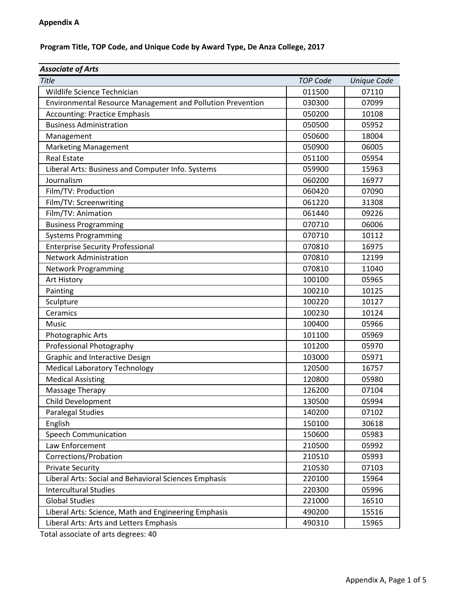# **Program Title, TOP Code, and Unique Code by Award Type, De Anza College, 2017**

| <b>Associate of Arts</b>                                   |                 |             |
|------------------------------------------------------------|-----------------|-------------|
| Title                                                      | <b>TOP Code</b> | Unique Code |
| Wildlife Science Technician                                | 011500          | 07110       |
| Environmental Resource Management and Pollution Prevention | 030300          | 07099       |
| <b>Accounting: Practice Emphasis</b>                       | 050200          | 10108       |
| <b>Business Administration</b>                             | 050500          | 05952       |
| Management                                                 | 050600          | 18004       |
| <b>Marketing Management</b>                                | 050900          | 06005       |
| <b>Real Estate</b>                                         | 051100          | 05954       |
| Liberal Arts: Business and Computer Info. Systems          | 059900          | 15963       |
| Journalism                                                 | 060200          | 16977       |
| Film/TV: Production                                        | 060420          | 07090       |
| Film/TV: Screenwriting                                     | 061220          | 31308       |
| Film/TV: Animation                                         | 061440          | 09226       |
| <b>Business Programming</b>                                | 070710          | 06006       |
| <b>Systems Programming</b>                                 | 070710          | 10112       |
| <b>Enterprise Security Professional</b>                    | 070810          | 16975       |
| <b>Network Administration</b>                              | 070810          | 12199       |
| <b>Network Programming</b>                                 | 070810          | 11040       |
| Art History                                                | 100100          | 05965       |
| Painting                                                   | 100210          | 10125       |
| Sculpture                                                  | 100220          | 10127       |
| Ceramics                                                   | 100230          | 10124       |
| Music                                                      | 100400          | 05966       |
| Photographic Arts                                          | 101100          | 05969       |
| Professional Photography                                   | 101200          | 05970       |
| Graphic and Interactive Design                             | 103000          | 05971       |
| <b>Medical Laboratory Technology</b>                       | 120500          | 16757       |
| <b>Medical Assisting</b>                                   | 120800          | 05980       |
| Massage Therapy                                            | 126200          | 07104       |
| Child Development                                          | 130500          | 05994       |
| <b>Paralegal Studies</b>                                   | 140200          | 07102       |
| English                                                    | 150100          | 30618       |
| <b>Speech Communication</b>                                | 150600          | 05983       |
| Law Enforcement                                            | 210500          | 05992       |
| Corrections/Probation                                      | 210510          | 05993       |
| <b>Private Security</b>                                    | 210530          | 07103       |
| Liberal Arts: Social and Behavioral Sciences Emphasis      | 220100          | 15964       |
| <b>Intercultural Studies</b>                               | 220300          | 05996       |
| <b>Global Studies</b>                                      | 221000          | 16510       |
| Liberal Arts: Science, Math and Engineering Emphasis       | 490200          | 15516       |
| Liberal Arts: Arts and Letters Emphasis                    | 490310          | 15965       |

Total associate of arts degrees: 40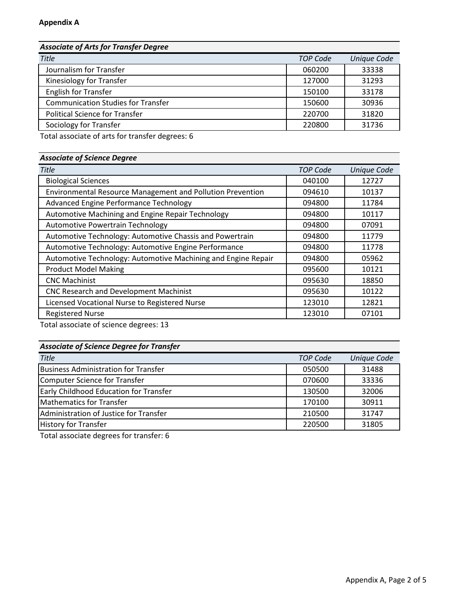# *Associate of Arts for Transfer Degree*

| <b>Title</b>                              | <b>TOP Code</b> | <b>Unique Code</b> |
|-------------------------------------------|-----------------|--------------------|
| Journalism for Transfer                   | 060200          | 33338              |
| Kinesiology for Transfer                  | 127000          | 31293              |
| <b>English for Transfer</b>               | 150100          | 33178              |
| <b>Communication Studies for Transfer</b> | 150600          | 30936              |
| <b>Political Science for Transfer</b>     | 220700          | 31820              |
| Sociology for Transfer                    | 220800          | 31736              |
|                                           |                 |                    |

Total associate of arts for transfer degrees: 6

# *Associate of Science Degree*

| <b>Title</b>                                                  | <b>TOP Code</b> | <b>Unique Code</b> |
|---------------------------------------------------------------|-----------------|--------------------|
| <b>Biological Sciences</b>                                    | 040100          | 12727              |
| Environmental Resource Management and Pollution Prevention    | 094610          | 10137              |
| Advanced Engine Performance Technology                        | 094800          | 11784              |
| Automotive Machining and Engine Repair Technology             | 094800          | 10117              |
| Automotive Powertrain Technology                              | 094800          | 07091              |
| Automotive Technology: Automotive Chassis and Powertrain      | 094800          | 11779              |
| Automotive Technology: Automotive Engine Performance          | 094800          | 11778              |
| Automotive Technology: Automotive Machining and Engine Repair | 094800          | 05962              |
| <b>Product Model Making</b>                                   | 095600          | 10121              |
| <b>CNC Machinist</b>                                          | 095630          | 18850              |
| CNC Research and Development Machinist                        | 095630          | 10122              |
| Licensed Vocational Nurse to Registered Nurse                 | 123010          | 12821              |
| <b>Registered Nurse</b>                                       | 123010          | 07101              |

Total associate of science degrees: 13

# *Associate of Science Degree for Transfer*

| <b>Title</b>                                  | <b>TOP Code</b> | <b>Unique Code</b> |
|-----------------------------------------------|-----------------|--------------------|
| <b>Business Administration for Transfer</b>   | 050500          | 31488              |
| Computer Science for Transfer                 | 070600          | 33336              |
| <b>Early Childhood Education for Transfer</b> | 130500          | 32006              |
| Mathematics for Transfer                      | 170100          | 30911              |
| Administration of Justice for Transfer        | 210500          | 31747              |
| <b>History for Transfer</b>                   | 220500          | 31805              |

Total associate degrees for transfer: 6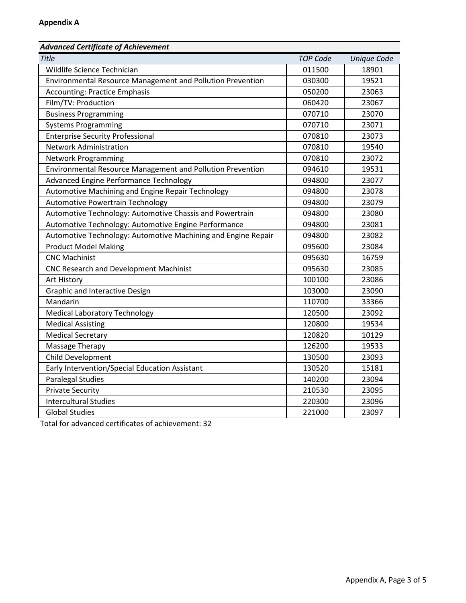# *Advanced Certificate of Achievement*

| <b>Title</b>                                                  | <b>TOP Code</b> | <b>Unique Code</b> |
|---------------------------------------------------------------|-----------------|--------------------|
| Wildlife Science Technician                                   | 011500          | 18901              |
| Environmental Resource Management and Pollution Prevention    | 030300          | 19521              |
| <b>Accounting: Practice Emphasis</b>                          | 050200          | 23063              |
| Film/TV: Production                                           | 060420          | 23067              |
| <b>Business Programming</b>                                   | 070710          | 23070              |
| <b>Systems Programming</b>                                    | 070710          | 23071              |
| <b>Enterprise Security Professional</b>                       | 070810          | 23073              |
| <b>Network Administration</b>                                 | 070810          | 19540              |
| <b>Network Programming</b>                                    | 070810          | 23072              |
| Environmental Resource Management and Pollution Prevention    | 094610          | 19531              |
| Advanced Engine Performance Technology                        | 094800          | 23077              |
| Automotive Machining and Engine Repair Technology             | 094800          | 23078              |
| Automotive Powertrain Technology                              | 094800          | 23079              |
| Automotive Technology: Automotive Chassis and Powertrain      | 094800          | 23080              |
| Automotive Technology: Automotive Engine Performance          | 094800          | 23081              |
| Automotive Technology: Automotive Machining and Engine Repair | 094800          | 23082              |
| <b>Product Model Making</b>                                   | 095600          | 23084              |
| <b>CNC Machinist</b>                                          | 095630          | 16759              |
| CNC Research and Development Machinist                        | 095630          | 23085              |
| Art History                                                   | 100100          | 23086              |
| <b>Graphic and Interactive Design</b>                         | 103000          | 23090              |
| Mandarin                                                      | 110700          | 33366              |
| <b>Medical Laboratory Technology</b>                          | 120500          | 23092              |
| <b>Medical Assisting</b>                                      | 120800          | 19534              |
| <b>Medical Secretary</b>                                      | 120820          | 10129              |
| Massage Therapy                                               | 126200          | 19533              |
| Child Development                                             | 130500          | 23093              |
| Early Intervention/Special Education Assistant                | 130520          | 15181              |
| <b>Paralegal Studies</b>                                      | 140200          | 23094              |
| <b>Private Security</b>                                       | 210530          | 23095              |
| <b>Intercultural Studies</b>                                  | 220300          | 23096              |
| <b>Global Studies</b>                                         | 221000          | 23097              |

Total for advanced certificates of achievement: 32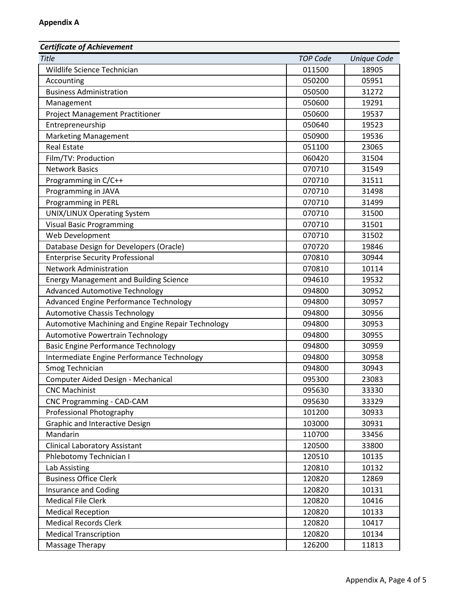| <b>Certificate of Achievement</b>                 |                 |                    |
|---------------------------------------------------|-----------------|--------------------|
| <b>Title</b>                                      | <b>TOP Code</b> | <b>Unique Code</b> |
| Wildlife Science Technician                       | 011500          | 18905              |
| Accounting                                        | 050200          | 05951              |
| <b>Business Administration</b>                    | 050500          | 31272              |
| Management                                        | 050600          | 19291              |
| <b>Project Management Practitioner</b>            | 050600          | 19537              |
| Entrepreneurship                                  | 050640          | 19523              |
| <b>Marketing Management</b>                       | 050900          | 19536              |
| <b>Real Estate</b>                                | 051100          | 23065              |
| Film/TV: Production                               | 060420          | 31504              |
| <b>Network Basics</b>                             | 070710          | 31549              |
| Programming in C/C++                              | 070710          | 31511              |
| Programming in JAVA                               | 070710          | 31498              |
| Programming in PERL                               | 070710          | 31499              |
| <b>UNIX/LINUX Operating System</b>                | 070710          | 31500              |
| <b>Visual Basic Programming</b>                   | 070710          | 31501              |
| Web Development                                   | 070710          | 31502              |
| Database Design for Developers (Oracle)           | 070720          | 19846              |
| <b>Enterprise Security Professional</b>           | 070810          | 30944              |
| <b>Network Administration</b>                     | 070810          | 10114              |
| <b>Energy Management and Building Science</b>     | 094610          | 19532              |
| <b>Advanced Automotive Technology</b>             | 094800          | 30952              |
| Advanced Engine Performance Technology            | 094800          | 30957              |
| <b>Automotive Chassis Technology</b>              | 094800          | 30956              |
| Automotive Machining and Engine Repair Technology | 094800          | 30953              |
| Automotive Powertrain Technology                  | 094800          | 30955              |
| <b>Basic Engine Performance Technology</b>        | 094800          | 30959              |
| Intermediate Engine Performance Technology        | 094800          | 30958              |
| Smog Technician                                   | 094800          | 30943              |
| Computer Aided Design - Mechanical                | 095300          | 23083              |
| <b>CNC Machinist</b>                              | 095630          | 33330              |
| CNC Programming - CAD-CAM                         | 095630          | 33329              |
| Professional Photography                          | 101200          | 30933              |
| Graphic and Interactive Design                    | 103000          | 30931              |
| Mandarin                                          | 110700          | 33456              |
| <b>Clinical Laboratory Assistant</b>              | 120500          | 33800              |
| Phlebotomy Technician I                           | 120510          | 10135              |
| Lab Assisting                                     | 120810          | 10132              |
| <b>Business Office Clerk</b>                      | 120820          | 12869              |
| <b>Insurance and Coding</b>                       | 120820          | 10131              |
| <b>Medical File Clerk</b>                         | 120820          | 10416              |
| <b>Medical Reception</b>                          | 120820          | 10133              |
| <b>Medical Records Clerk</b>                      | 120820          | 10417              |
| <b>Medical Transcription</b>                      | 120820          | 10134              |
| Massage Therapy                                   | 126200          | 11813              |
|                                                   |                 |                    |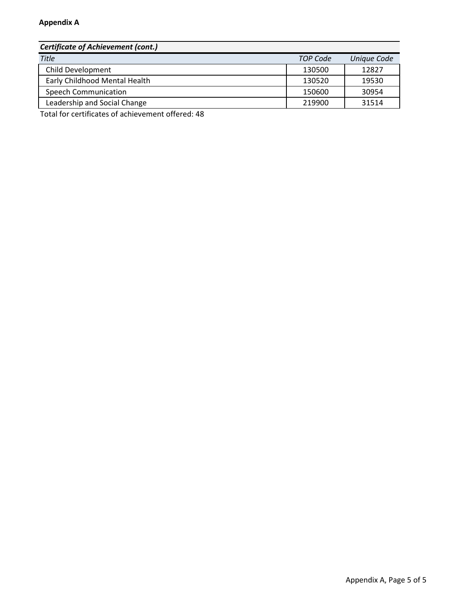| <b>Certificate of Achievement (cont.)</b> |                 |             |
|-------------------------------------------|-----------------|-------------|
| <b>Title</b>                              | <b>TOP Code</b> | Unique Code |
| Child Development                         | 130500          | 12827       |
| Early Childhood Mental Health             | 130520          | 19530       |
| <b>Speech Communication</b>               | 150600          | 30954       |
| Leadership and Social Change              | 219900          | 31514       |

Total for certificates of achievement offered: 48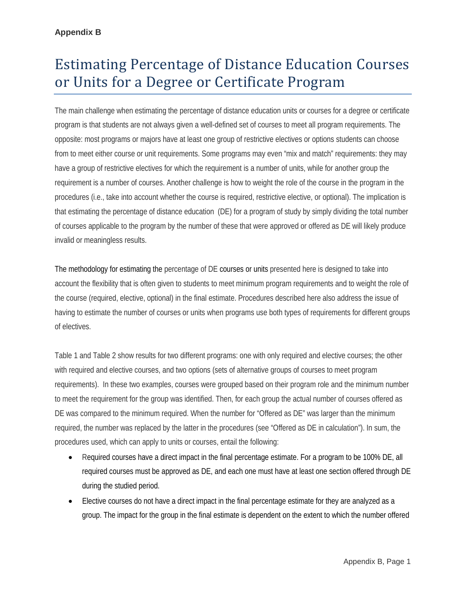# Estimating Percentage of Distance Education Courses or Units for a Degree or Certificate Program

The main challenge when estimating the percentage of distance education units or courses for a degree or certificate program is that students are not always given a well-defined set of courses to meet all program requirements. The opposite: most programs or majors have at least one group of restrictive electives or options students can choose from to meet either course or unit requirements. Some programs may even "mix and match" requirements: they may have a group of restrictive electives for which the requirement is a number of units, while for another group the requirement is a number of courses. Another challenge is how to weight the role of the course in the program in the procedures (i.e., take into account whether the course is required, restrictive elective, or optional). The implication is that estimating the percentage of distance education (DE) for a program of study by simply dividing the total number of courses applicable to the program by the number of these that were approved or offered as DE will likely produce invalid or meaningless results.

The methodology for estimating the percentage of DE courses or units presented here is designed to take into account the flexibility that is often given to students to meet minimum program requirements and to weight the role of the course (required, elective, optional) in the final estimate. Procedures described here also address the issue of having to estimate the number of courses or units when programs use both types of requirements for different groups of electives.

Table 1 and Table 2 show results for two different programs: one with only required and elective courses; the other with required and elective courses, and two options (sets of alternative groups of courses to meet program requirements). In these two examples, courses were grouped based on their program role and the minimum number to meet the requirement for the group was identified. Then, for each group the actual number of courses offered as DE was compared to the minimum required. When the number for "Offered as DE" was larger than the minimum required, the number was replaced by the latter in the procedures (see "Offered as DE in calculation"). In sum, the procedures used, which can apply to units or courses, entail the following:

- Required courses have a direct impact in the final percentage estimate. For a program to be 100% DE, all required courses must be approved as DE, and each one must have at least one section offered through DE during the studied period.
- Elective courses do not have a direct impact in the final percentage estimate for they are analyzed as a group. The impact for the group in the final estimate is dependent on the extent to which the number offered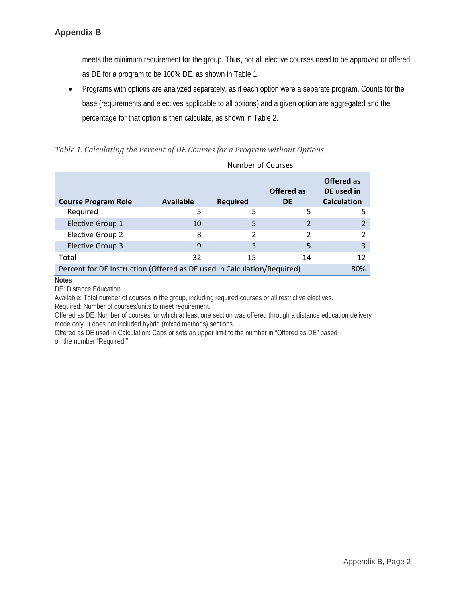meets the minimum requirement for the group. Thus, not all elective courses need to be approved or offered as DE for a program to be 100% DE, as shown in Table 1.

• Programs with options are analyzed separately, as if each option were a separate program. Counts for the base (requirements and electives applicable to all options) and a given option are aggregated and the percentage for that option is then calculate, as shown in Table 2.

|                                                                         | <b>Number of Courses</b> |          |                         |                                                |
|-------------------------------------------------------------------------|--------------------------|----------|-------------------------|------------------------------------------------|
| <b>Course Program Role</b>                                              | Available                | Required | <b>Offered as</b><br>DE | Offered as<br>DE used in<br><b>Calculation</b> |
| Required                                                                | 5                        | 5        | 5                       |                                                |
| Elective Group 1                                                        | 10                       | 5        |                         |                                                |
| <b>Elective Group 2</b>                                                 | 8                        | 2        |                         |                                                |
| Elective Group 3                                                        | 9                        | 3        | 5                       | 3                                              |
| Total                                                                   | 32                       | 15       | 14                      | 12                                             |
| Percent for DE Instruction (Offered as DE used in Calculation/Required) |                          |          |                         | 80 <sup>%</sup>                                |

#### *Table 1. Calculating the Percent of DE Courses for a Program without Options*

**Notes**

DE: Distance Education.

Available: Total number of courses in the group, including required courses or all restrictive electives. Required: Number of courses/units to meet requirement.

Offered as DE: Number of courses for which at least one section was offered through a distance education delivery mode only. It does not included hybrid (mixed methods) sections.

Offered as DE used in Calculation: Caps or sets an upper limit to the number in "Offered as DE" based on the number "Required."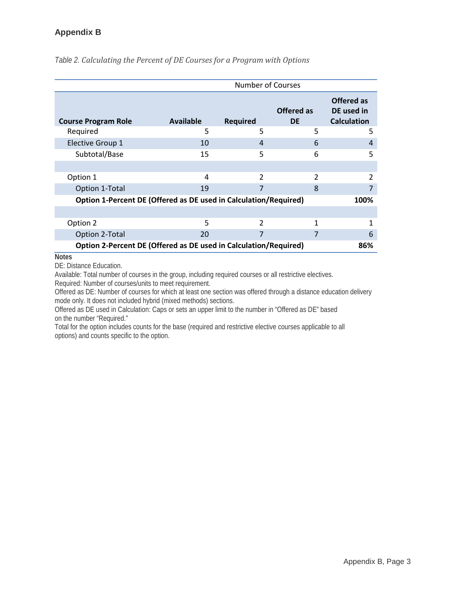# **Appendix B**

|                                                                  |                  | Number of Courses |                         |                                                |
|------------------------------------------------------------------|------------------|-------------------|-------------------------|------------------------------------------------|
| <b>Course Program Role</b>                                       | <b>Available</b> | <b>Required</b>   | Offered as<br><b>DE</b> | Offered as<br>DE used in<br><b>Calculation</b> |
| Required                                                         | 5                | 5                 | 5                       | 5                                              |
| <b>Elective Group 1</b>                                          | 10               | 4                 | 6                       | 4                                              |
| Subtotal/Base                                                    | 15               | 5                 | 6                       | 5                                              |
|                                                                  |                  |                   |                         |                                                |
| Option 1                                                         | 4                | $\mathcal{P}$     | $\mathfrak{D}$          | 2                                              |
| Option 1-Total                                                   | 19               |                   | 8                       |                                                |
| Option 1-Percent DE (Offered as DE used in Calculation/Required) |                  |                   |                         | 100%                                           |
|                                                                  |                  |                   |                         |                                                |
| Option 2                                                         | 5                | $\overline{2}$    | 1                       |                                                |
| Option 2-Total                                                   | 20               |                   | 7                       | 6                                              |
| Option 2-Percent DE (Offered as DE used in Calculation/Required) |                  |                   |                         | 86%                                            |

*Table 2. Calculating the Percent of DE Courses for a Program with Options*

**Notes**

DE: Distance Education.

Available: Total number of courses in the group, including required courses or all restrictive electives. Required: Number of courses/units to meet requirement.

Offered as DE: Number of courses for which at least one section was offered through a distance education delivery mode only. It does not included hybrid (mixed methods) sections.

Offered as DE used in Calculation: Caps or sets an upper limit to the number in "Offered as DE" based on the number "Required."

Total for the option includes counts for the base (required and restrictive elective courses applicable to all options) and counts specific to the option.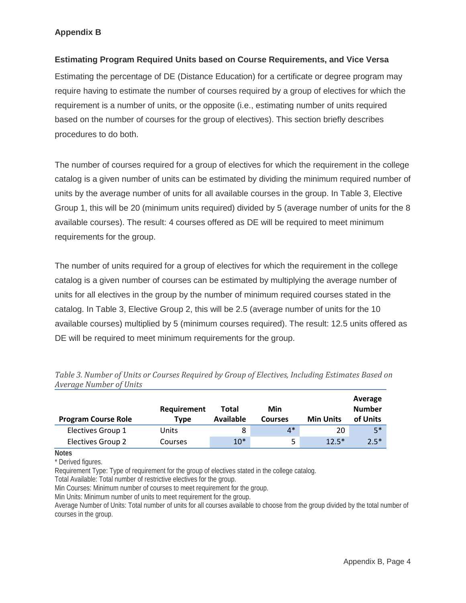# **Appendix B**

### **Estimating Program Required Units based on Course Requirements, and Vice Versa**

Estimating the percentage of DE (Distance Education) for a certificate or degree program may require having to estimate the number of courses required by a group of electives for which the requirement is a number of units, or the opposite (i.e., estimating number of units required based on the number of courses for the group of electives). This section briefly describes procedures to do both.

The number of courses required for a group of electives for which the requirement in the college catalog is a given number of units can be estimated by dividing the minimum required number of units by the average number of units for all available courses in the group. In Table 3, Elective Group 1, this will be 20 (minimum units required) divided by 5 (average number of units for the 8 available courses). The result: 4 courses offered as DE will be required to meet minimum requirements for the group.

The number of units required for a group of electives for which the requirement in the college catalog is a given number of courses can be estimated by multiplying the average number of units for all electives in the group by the number of minimum required courses stated in the catalog. In Table 3, Elective Group 2, this will be 2.5 (average number of units for the 10 available courses) multiplied by 5 (minimum courses required). The result: 12.5 units offered as DE will be required to meet minimum requirements for the group.

| <b>Program Course Role</b> | Requirement<br>Tvpe | Total<br>Available | Min<br><b>Courses</b> | <b>Min Units</b> | Average<br><b>Number</b><br>of Units |
|----------------------------|---------------------|--------------------|-----------------------|------------------|--------------------------------------|
| Electives Group 1          | Units               | 8                  | $4*$                  | 20               | $5*$                                 |
| Electives Group 2          | Courses             | $10*$              | 5.                    | $12.5*$          | $2.5*$                               |

*Table 3. Number of Units or Courses Required by Group of Electives, Including Estimates Based on Average Number of Units*

**Notes**

\* Derived figures.

Requirement Type: Type of requirement for the group of electives stated in the college catalog.

Total Available: Total number of restrictive electives for the group.

Min Courses: Minimum number of courses to meet requirement for the group.

Min Units: Minimum number of units to meet requirement for the group.

Average Number of Units: Total number of units for all courses available to choose from the group divided by the total number of courses in the group.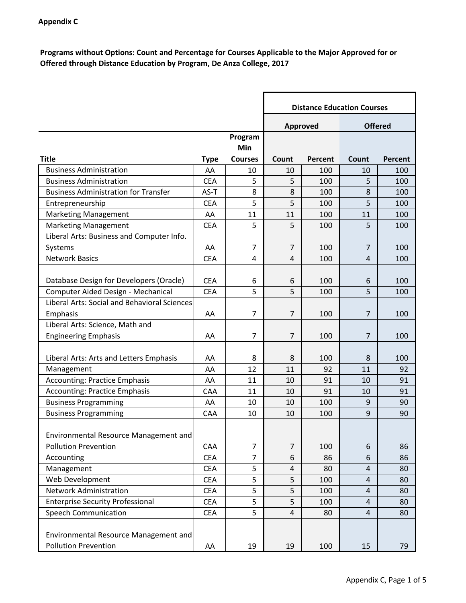**Programs without Options: Count and Percentage for Courses Applicable to the Major Approved for or Offered through Distance Education by Program, De Anza College, 2017**

|                                                                             |             |                | <b>Distance Education Courses</b> |         |                |         |
|-----------------------------------------------------------------------------|-------------|----------------|-----------------------------------|---------|----------------|---------|
|                                                                             |             |                | <b>Approved</b>                   |         | <b>Offered</b> |         |
|                                                                             |             | Program        |                                   |         |                |         |
|                                                                             |             | Min            |                                   |         |                |         |
| <b>Title</b>                                                                | <b>Type</b> | <b>Courses</b> | Count                             | Percent | Count          | Percent |
| <b>Business Administration</b>                                              | AA          | 10             | 10                                | 100     | 10             | 100     |
| <b>Business Administration</b>                                              | <b>CEA</b>  | 5              | 5                                 | 100     | 5              | 100     |
| <b>Business Administration for Transfer</b>                                 | $AS-T$      | 8              | 8                                 | 100     | 8              | 100     |
| Entrepreneurship                                                            | <b>CEA</b>  | 5              | 5                                 | 100     | 5              | 100     |
| <b>Marketing Management</b>                                                 | AA          | 11             | 11                                | 100     | 11             | 100     |
| <b>Marketing Management</b>                                                 | <b>CEA</b>  | 5              | 5                                 | 100     | 5              | 100     |
| Liberal Arts: Business and Computer Info.                                   |             |                |                                   |         |                |         |
| Systems                                                                     | AA          | 7              | $\overline{7}$                    | 100     | $\overline{7}$ | 100     |
| <b>Network Basics</b>                                                       | <b>CEA</b>  | $\overline{4}$ | $\overline{4}$                    | 100     | $\overline{4}$ | 100     |
|                                                                             |             |                |                                   |         |                |         |
| Database Design for Developers (Oracle)                                     | <b>CEA</b>  | 6              | 6                                 | 100     | 6              | 100     |
| Computer Aided Design - Mechanical                                          | <b>CEA</b>  | 5              | 5                                 | 100     | 5              | 100     |
| <b>Liberal Arts: Social and Behavioral Sciences</b>                         |             |                |                                   |         |                |         |
| Emphasis                                                                    | AA          | 7              | $\overline{7}$                    | 100     | 7              | 100     |
| Liberal Arts: Science, Math and                                             |             |                |                                   |         |                |         |
| <b>Engineering Emphasis</b>                                                 | AA          | 7              | 7                                 | 100     | 7              | 100     |
|                                                                             |             |                |                                   |         |                |         |
| Liberal Arts: Arts and Letters Emphasis                                     | AA          | 8              | 8                                 | 100     | 8              | 100     |
| Management                                                                  | AA          | 12             | 11                                | 92      | 11             | 92      |
| <b>Accounting: Practice Emphasis</b>                                        | AA          | 11             | 10                                | 91      | 10             | 91      |
| <b>Accounting: Practice Emphasis</b>                                        | CAA         | 11             | 10                                | 91      | 10             | 91      |
| <b>Business Programming</b>                                                 | AA          | 10             | 10                                | 100     | 9              | 90      |
| <b>Business Programming</b>                                                 | CAA         | 10             | 10                                | 100     | 9              | 90      |
| Environmental Resource Management and                                       |             |                |                                   |         |                |         |
| <b>Pollution Prevention</b>                                                 | CAA         | 7              | $\overline{7}$                    | 100     | 6              | 86      |
| Accounting                                                                  | <b>CEA</b>  | $\overline{7}$ | 6                                 | 86      | 6              | 86      |
| Management                                                                  | <b>CEA</b>  | 5              | $\overline{\mathbf{4}}$           | 80      | 4              | 80      |
| Web Development                                                             | <b>CEA</b>  | 5              | 5                                 | 100     | $\overline{4}$ | 80      |
| <b>Network Administration</b>                                               | <b>CEA</b>  | 5              | 5                                 | 100     | $\overline{4}$ | 80      |
| <b>Enterprise Security Professional</b>                                     | <b>CEA</b>  | 5              | 5                                 | 100     | 4              | 80      |
| <b>Speech Communication</b>                                                 | <b>CEA</b>  | 5              | $\overline{\mathbf{4}}$           | 80      | 4              | 80      |
| <b>Environmental Resource Management and</b><br><b>Pollution Prevention</b> | AA          | 19             | 19                                | 100     | 15             | 79      |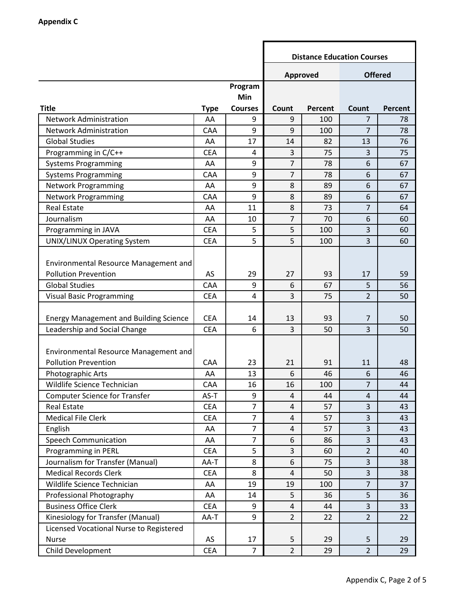|                                               |             |                | <b>Distance Education Courses</b> |                |                |         |  |
|-----------------------------------------------|-------------|----------------|-----------------------------------|----------------|----------------|---------|--|
|                                               |             |                | <b>Offered</b><br>Approved        |                |                |         |  |
|                                               |             | Program        |                                   |                |                |         |  |
|                                               |             | Min            |                                   |                |                |         |  |
| <b>Title</b>                                  | <b>Type</b> | <b>Courses</b> | Count                             | <b>Percent</b> | Count          | Percent |  |
| <b>Network Administration</b>                 | AA          | 9              | 9                                 | 100            | 7              | 78      |  |
| <b>Network Administration</b>                 | CAA         | 9              | 9                                 | 100            | $\overline{7}$ | 78      |  |
| <b>Global Studies</b>                         | AA          | 17             | 14                                | 82             | 13             | 76      |  |
| Programming in C/C++                          | <b>CEA</b>  | 4              | 3                                 | 75             | 3              | 75      |  |
| <b>Systems Programming</b>                    | AA          | 9              | 7                                 | 78             | 6              | 67      |  |
| <b>Systems Programming</b>                    | CAA         | 9              | $\overline{7}$                    | 78             | 6              | 67      |  |
| <b>Network Programming</b>                    | AA          | 9              | 8                                 | 89             | 6              | 67      |  |
| <b>Network Programming</b>                    | CAA         | 9              | 8                                 | 89             | 6              | 67      |  |
| <b>Real Estate</b>                            | AA          | 11             | 8                                 | 73             | $\overline{7}$ | 64      |  |
| Journalism                                    | AA          | 10             | 7                                 | 70             | 6              | 60      |  |
| Programming in JAVA                           | <b>CEA</b>  | 5              | 5                                 | 100            | 3              | 60      |  |
| <b>UNIX/LINUX Operating System</b>            | <b>CEA</b>  | 5              | 5                                 | 100            | 3              | 60      |  |
|                                               |             |                |                                   |                |                |         |  |
| <b>Environmental Resource Management and</b>  |             |                |                                   |                |                |         |  |
| <b>Pollution Prevention</b>                   | AS          | 29             | 27                                | 93             | 17             | 59      |  |
| <b>Global Studies</b>                         | CAA         | 9              | 6                                 | 67             | 5              | 56      |  |
| <b>Visual Basic Programming</b>               | <b>CEA</b>  | 4              | 3                                 | 75             | $\overline{2}$ | 50      |  |
| <b>Energy Management and Building Science</b> | <b>CEA</b>  | 14             | 13                                | 93             | $\overline{7}$ | 50      |  |
| Leadership and Social Change                  | <b>CEA</b>  | 6              | 3                                 | 50             | 3              | 50      |  |
|                                               |             |                |                                   |                |                |         |  |
| Environmental Resource Management and         |             |                |                                   |                |                |         |  |
| <b>Pollution Prevention</b>                   | CAA         | 23             | 21                                | 91             | 11             | 48      |  |
| Photographic Arts                             | AA          | 13             | 6                                 | 46             | 6              | 46      |  |
| Wildlife Science Technician                   | CAA         | 16             | 16                                | 100            | 7              | 44      |  |
| <b>Computer Science for Transfer</b>          | AS-T        | 9              | $\overline{4}$                    | 44             | $\overline{4}$ | 44      |  |
| <b>Real Estate</b>                            | <b>CEA</b>  | $\overline{7}$ | $\overline{4}$                    | 57             | 3              | 43      |  |
| <b>Medical File Clerk</b>                     | <b>CEA</b>  | $\overline{7}$ | $\overline{4}$                    | 57             | 3              | 43      |  |
| English                                       | AA          | $\overline{7}$ | $\overline{4}$                    | 57             | $\overline{3}$ | 43      |  |
| <b>Speech Communication</b>                   | AA          | $\overline{7}$ | 6                                 | 86             | 3              | 43      |  |
| Programming in PERL                           | <b>CEA</b>  | 5              | 3                                 | 60             | $\overline{2}$ | 40      |  |
| Journalism for Transfer (Manual)              | AA-T        | 8              | 6                                 | 75             | $\overline{3}$ | 38      |  |
| <b>Medical Records Clerk</b>                  | <b>CEA</b>  | 8              | 4                                 | 50             | 3              | 38      |  |
| Wildlife Science Technician                   | AA          | 19             | 19                                | 100            | $\overline{7}$ | 37      |  |
| Professional Photography                      | AA          | 14             | 5                                 | 36             | 5              | 36      |  |
| <b>Business Office Clerk</b>                  | <b>CEA</b>  | 9              | $\overline{4}$                    | 44             | $\overline{3}$ | 33      |  |
| Kinesiology for Transfer (Manual)             | AA-T        | 9              | $\overline{2}$                    | 22             | $\overline{2}$ | 22      |  |
| Licensed Vocational Nurse to Registered       |             |                |                                   |                |                |         |  |
| Nurse                                         | AS          | 17             | 5                                 | 29             | 5              | 29      |  |
| Child Development                             | <b>CEA</b>  | $\overline{7}$ | $\overline{2}$                    | 29             | $2^{\circ}$    | 29      |  |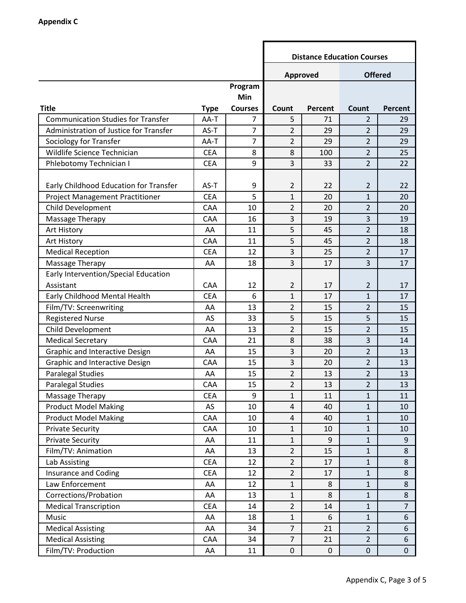|                                           |             |                | <b>Distance Education Courses</b> |                  |                |                |  |
|-------------------------------------------|-------------|----------------|-----------------------------------|------------------|----------------|----------------|--|
|                                           |             |                | <b>Offered</b><br>Approved        |                  |                |                |  |
|                                           |             | Program        |                                   |                  |                |                |  |
|                                           |             | Min            |                                   |                  |                |                |  |
| <b>Title</b>                              | <b>Type</b> | <b>Courses</b> | Count                             | <b>Percent</b>   | Count          | Percent        |  |
| <b>Communication Studies for Transfer</b> | AA-T        | 7              | 5                                 | 71               | 2              | 29             |  |
| Administration of Justice for Transfer    | AS-T        | $\overline{7}$ | $\overline{2}$                    | 29               | $\overline{2}$ | 29             |  |
| Sociology for Transfer                    | AA-T        | $\overline{7}$ | $\overline{2}$                    | 29               | $\overline{2}$ | 29             |  |
| Wildlife Science Technician               | <b>CEA</b>  | 8              | 8                                 | 100              | $\overline{2}$ | 25             |  |
| Phlebotomy Technician I                   | <b>CEA</b>  | 9              | 3                                 | 33               | $\overline{2}$ | 22             |  |
|                                           |             |                |                                   |                  |                |                |  |
| Early Childhood Education for Transfer    | AS-T        | 9              | 2                                 | 22               | $\overline{2}$ | 22             |  |
| <b>Project Management Practitioner</b>    | <b>CEA</b>  | 5              | 1                                 | 20               | $\mathbf{1}$   | 20             |  |
| Child Development                         | CAA         | 10             | 2                                 | 20               | $\overline{2}$ | 20             |  |
| Massage Therapy                           | CAA         | 16             | 3                                 | 19               | $\overline{3}$ | 19             |  |
| Art History                               | AA          | 11             | 5                                 | 45               | $\overline{2}$ | 18             |  |
| Art History                               | CAA         | 11             | 5                                 | 45               | $\overline{2}$ | 18             |  |
| <b>Medical Reception</b>                  | <b>CEA</b>  | 12             | 3                                 | 25               | $\overline{2}$ | 17             |  |
| Massage Therapy                           | AA          | 18             | 3                                 | 17               | $\overline{3}$ | 17             |  |
| Early Intervention/Special Education      |             |                |                                   |                  |                |                |  |
| Assistant                                 | <b>CAA</b>  | 12             | 2                                 | 17               | $\overline{2}$ | 17             |  |
| Early Childhood Mental Health             | <b>CEA</b>  | 6              | 1                                 | 17               | $\mathbf{1}$   | 17             |  |
| Film/TV: Screenwriting                    | AA          | 13             | $\overline{2}$                    | 15               | $\overline{2}$ | 15             |  |
| <b>Registered Nurse</b>                   | AS          | 33             | 5                                 | 15               | 5              | 15             |  |
| Child Development                         | AA          | 13             | $\overline{2}$                    | 15               | $\overline{2}$ | 15             |  |
| <b>Medical Secretary</b>                  | CAA         | 21             | 8                                 | 38               | $\overline{3}$ | 14             |  |
| <b>Graphic and Interactive Design</b>     | AA          | 15             | 3                                 | 20               | $\overline{2}$ | 13             |  |
| <b>Graphic and Interactive Design</b>     | CAA         | 15             | 3                                 | 20               | $\overline{2}$ | 13             |  |
| <b>Paralegal Studies</b>                  | AA          | 15             | $\overline{2}$                    | 13               | $\overline{2}$ | 13             |  |
| <b>Paralegal Studies</b>                  | CAA         | 15             | $\overline{2}$                    | 13               | 2              | 13             |  |
| Massage Therapy                           | <b>CEA</b>  | 9              | $\mathbf{1}$                      | 11               | $\mathbf{1}$   | 11             |  |
| <b>Product Model Making</b>               | AS          | 10             | $\overline{4}$                    | 40               | $\mathbf{1}$   | 10             |  |
| <b>Product Model Making</b>               | CAA         | 10             | $\overline{4}$                    | 40               | $\mathbf{1}$   | 10             |  |
| <b>Private Security</b>                   | CAA         | 10             | $\mathbf{1}$                      | 10               | $\mathbf{1}$   | 10             |  |
| <b>Private Security</b>                   | AA          | 11             | $\mathbf{1}$                      | 9                | $\mathbf{1}$   | 9              |  |
| Film/TV: Animation                        | AA          | 13             | $\overline{2}$                    | 15               | $\mathbf{1}$   | 8              |  |
| Lab Assisting                             | <b>CEA</b>  | 12             | $\overline{2}$                    | 17               | $\mathbf{1}$   | 8              |  |
| Insurance and Coding                      | <b>CEA</b>  | 12             | $\overline{2}$                    | 17               | $\mathbf{1}$   | 8              |  |
| Law Enforcement                           | AA          | 12             | $\mathbf{1}$                      | 8                | $\mathbf{1}$   | 8              |  |
| Corrections/Probation                     | AA          | 13             | $\mathbf{1}$                      | 8                | $\mathbf{1}$   | 8              |  |
| <b>Medical Transcription</b>              | <b>CEA</b>  | 14             | $\overline{2}$                    | 14               | $\mathbf{1}$   | $\overline{7}$ |  |
| Music                                     | AA          | 18             | $\mathbf{1}$                      | 6                | $\mathbf{1}$   | 6              |  |
| <b>Medical Assisting</b>                  | AA          | 34             | $\overline{7}$                    | 21               | $\overline{2}$ | 6              |  |
| <b>Medical Assisting</b>                  | CAA         | 34             | $\overline{7}$                    | 21               | $\overline{2}$ | 6              |  |
| Film/TV: Production                       | AA          | 11             | $\pmb{0}$                         | $\boldsymbol{0}$ | $\mathbf 0$    | $\mathbf 0$    |  |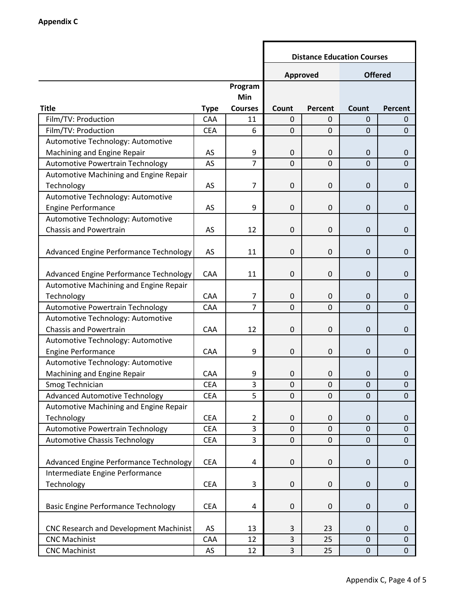|                                            |             |                | <b>Distance Education Courses</b> |                  |                |                  |  |
|--------------------------------------------|-------------|----------------|-----------------------------------|------------------|----------------|------------------|--|
|                                            |             |                | Approved                          |                  | <b>Offered</b> |                  |  |
|                                            |             | Program        |                                   |                  |                |                  |  |
|                                            |             | Min            |                                   |                  |                |                  |  |
| <b>Title</b>                               | <b>Type</b> | <b>Courses</b> | Count                             | <b>Percent</b>   | Count          | Percent          |  |
| Film/TV: Production                        | CAA         | 11             | $\mathbf 0$                       | 0                | 0              | $\mathbf{0}$     |  |
| Film/TV: Production                        | <b>CEA</b>  | 6              | $\mathbf 0$                       | $\mathbf 0$      | $\overline{0}$ | $\mathbf 0$      |  |
| Automotive Technology: Automotive          |             |                |                                   |                  |                |                  |  |
| Machining and Engine Repair                | AS          | 9              | $\mathbf 0$                       | 0                | 0              | $\mathbf 0$      |  |
| Automotive Powertrain Technology           | AS          | $\overline{7}$ | $\mathbf 0$                       | $\mathbf 0$      | $\overline{0}$ | $\mathbf 0$      |  |
| Automotive Machining and Engine Repair     |             |                |                                   |                  |                |                  |  |
| Technology                                 | AS          | $\overline{7}$ | $\boldsymbol{0}$                  | 0                | 0              | $\boldsymbol{0}$ |  |
| Automotive Technology: Automotive          |             |                |                                   |                  |                |                  |  |
| <b>Engine Performance</b>                  | AS          | 9              | $\mathbf 0$                       | 0                | 0              | $\boldsymbol{0}$ |  |
| Automotive Technology: Automotive          |             |                |                                   |                  |                |                  |  |
| <b>Chassis and Powertrain</b>              | AS          | 12             | $\mathbf 0$                       | 0                | 0              | $\mathbf 0$      |  |
| Advanced Engine Performance Technology     | AS          | 11             | $\mathbf 0$                       | 0                | 0              | $\mathbf 0$      |  |
| Advanced Engine Performance Technology     | CAA         | 11             | $\boldsymbol{0}$                  | $\mathbf 0$      | 0              | $\boldsymbol{0}$ |  |
| Automotive Machining and Engine Repair     |             |                |                                   |                  |                |                  |  |
| Technology                                 | CAA         | $\overline{7}$ | $\mathbf 0$                       | $\mathbf 0$      | $\mathbf 0$    | $\boldsymbol{0}$ |  |
| Automotive Powertrain Technology           | CAA         | $\overline{7}$ | $\mathbf 0$                       | $\mathbf 0$      | $\mathbf 0$    | $\mathbf 0$      |  |
| Automotive Technology: Automotive          |             |                |                                   |                  |                |                  |  |
| <b>Chassis and Powertrain</b>              | CAA         | 12             | $\mathbf 0$                       | 0                | 0              | $\mathbf 0$      |  |
| Automotive Technology: Automotive          |             |                |                                   |                  |                |                  |  |
| <b>Engine Performance</b>                  | CAA         | 9              | $\boldsymbol{0}$                  | $\mathbf 0$      | 0              | $\boldsymbol{0}$ |  |
| Automotive Technology: Automotive          |             |                |                                   |                  |                |                  |  |
| Machining and Engine Repair                | CAA         | 9              | $\mathbf 0$                       | $\boldsymbol{0}$ | 0              | 0                |  |
| Smog Technician                            | CEA         | 3              | O                                 | 0                | 0              | 0                |  |
| <b>Advanced Automotive Technology</b>      | <b>CEA</b>  | 5              | $\overline{0}$                    | $\mathbf 0$      | $\overline{0}$ | $\mathbf 0$      |  |
| Automotive Machining and Engine Repair     |             |                |                                   |                  |                |                  |  |
| Technology                                 | <b>CEA</b>  | $\overline{2}$ | $\mathbf 0$                       | 0                | $\mathbf{0}$   | 0                |  |
| Automotive Powertrain Technology           | <b>CEA</b>  | 3              | $\mathbf 0$                       | $\mathbf 0$      | $\overline{0}$ | $\boldsymbol{0}$ |  |
| <b>Automotive Chassis Technology</b>       | <b>CEA</b>  | $\overline{3}$ | $\mathbf 0$                       | 0                | 0              | $\mathbf 0$      |  |
| Advanced Engine Performance Technology     | <b>CEA</b>  | 4              | $\boldsymbol{0}$                  | 0                | $\mathbf{0}$   | $\boldsymbol{0}$ |  |
| Intermediate Engine Performance            |             |                |                                   |                  |                |                  |  |
| Technology                                 | <b>CEA</b>  | 3              | $\boldsymbol{0}$                  | 0                | $\mathbf 0$    | $\boldsymbol{0}$ |  |
| <b>Basic Engine Performance Technology</b> | <b>CEA</b>  | 4              | $\boldsymbol{0}$                  | $\mathbf 0$      | $\mathbf 0$    | $\boldsymbol{0}$ |  |
| CNC Research and Development Machinist     | AS          | 13             | 3                                 | 23               | 0              | $\mathbf 0$      |  |
| <b>CNC Machinist</b>                       | CAA         | 12             | 3                                 | 25               | $\mathbf 0$    | $\boldsymbol{0}$ |  |
| <b>CNC Machinist</b>                       | AS          | 12             | 3                                 | 25               | $\pmb{0}$      | $\mathbf 0$      |  |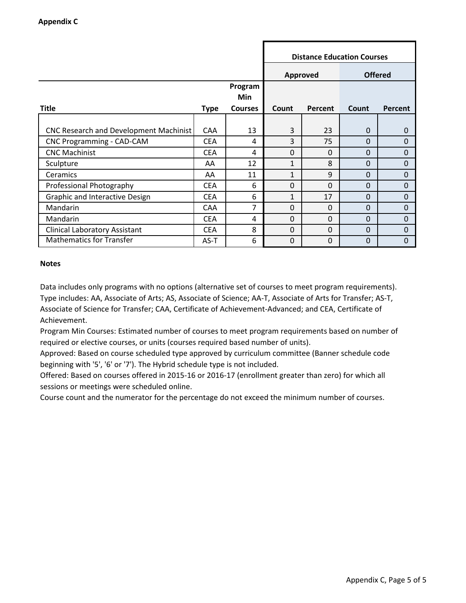|                                        |             |                | <b>Distance Education Courses</b> |              |                |                |  |
|----------------------------------------|-------------|----------------|-----------------------------------|--------------|----------------|----------------|--|
|                                        |             |                | Approved                          |              | <b>Offered</b> |                |  |
|                                        |             | Program        |                                   |              |                |                |  |
|                                        |             | <b>Min</b>     |                                   |              |                |                |  |
| <b>Title</b>                           | <b>Type</b> | <b>Courses</b> | Count                             | Percent      | Count          | <b>Percent</b> |  |
|                                        |             |                |                                   |              |                |                |  |
| CNC Research and Development Machinist | <b>CAA</b>  | 13             | 3                                 | 23           | $\Omega$       | $\mathbf 0$    |  |
| CNC Programming - CAD-CAM              | <b>CEA</b>  | 4              | 3                                 | 75           | $\Omega$       | $\Omega$       |  |
| <b>CNC Machinist</b>                   | <b>CEA</b>  | 4              | $\Omega$                          | $\Omega$     | $\Omega$       | $\Omega$       |  |
| Sculpture                              | AA          | 12             | 1                                 | 8            | $\Omega$       | $\Omega$       |  |
| Ceramics                               | AA          | 11             | 1                                 | $\mathbf{q}$ | $\Omega$       | 0              |  |
| Professional Photography               | <b>CEA</b>  | 6              | $\Omega$                          | $\Omega$     | $\Omega$       | $\Omega$       |  |
| Graphic and Interactive Design         | <b>CEA</b>  | 6              | $\mathbf{1}$                      | 17           | $\Omega$       | $\Omega$       |  |
| Mandarin                               | <b>CAA</b>  | 7              | $\overline{0}$                    | $\Omega$     | 0              | $\Omega$       |  |
| Mandarin                               | <b>CEA</b>  | 4              | $\Omega$                          | $\Omega$     | 0              | $\Omega$       |  |
| <b>Clinical Laboratory Assistant</b>   | <b>CEA</b>  | 8              | $\overline{0}$                    | $\Omega$     | 0              | $\mathbf{0}$   |  |
| <b>Mathematics for Transfer</b>        | AS-T        | 6              | 0                                 | $\mathbf 0$  | 0              | 0              |  |

Data includes only programs with no options (alternative set of courses to meet program requirements). Type includes: AA, Associate of Arts; AS, Associate of Science; AA-T, Associate of Arts for Transfer; AS-T, Associate of Science for Transfer; CAA, Certificate of Achievement-Advanced; and CEA, Certificate of Achievement.

Program Min Courses: Estimated number of courses to meet program requirements based on number of required or elective courses, or units (courses required based number of units).

Approved: Based on course scheduled type approved by curriculum committee (Banner schedule code beginning with '5', '6' or '7'). The Hybrid schedule type is not included.

Offered: Based on courses offered in 2015-16 or 2016-17 (enrollment greater than zero) for which all sessions or meetings were scheduled online.

Course count and the numerator for the percentage do not exceed the minimum number of courses.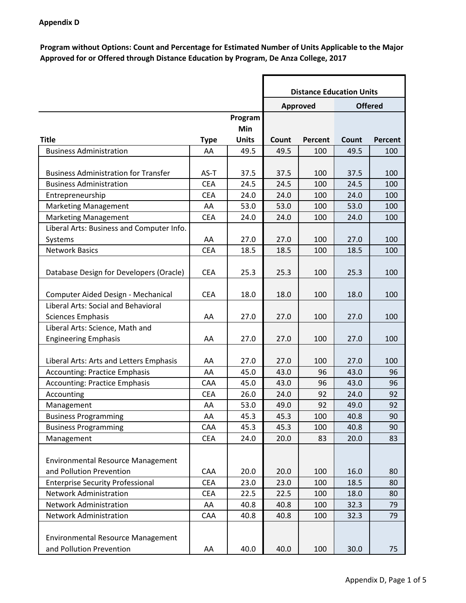**Program without Options: Count and Percentage for Estimated Number of Units Applicable to the Major Approved for or Offered through Distance Education by Program, De Anza College, 2017**

|                                             |             |              |       | <b>Distance Education Units</b> |       |                |
|---------------------------------------------|-------------|--------------|-------|---------------------------------|-------|----------------|
|                                             |             |              |       | Approved                        |       | <b>Offered</b> |
|                                             |             | Program      |       |                                 |       |                |
|                                             |             | Min          |       |                                 |       |                |
| <b>Title</b>                                | <b>Type</b> | <b>Units</b> | Count | <b>Percent</b>                  | Count | <b>Percent</b> |
| <b>Business Administration</b>              | AA          | 49.5         | 49.5  | 100                             | 49.5  | 100            |
|                                             |             |              |       |                                 |       |                |
| <b>Business Administration for Transfer</b> | AS-T        | 37.5         | 37.5  | 100                             | 37.5  | 100            |
| <b>Business Administration</b>              | <b>CEA</b>  | 24.5         | 24.5  | 100                             | 24.5  | 100            |
| Entrepreneurship                            | <b>CEA</b>  | 24.0         | 24.0  | 100                             | 24.0  | 100            |
| <b>Marketing Management</b>                 | AA          | 53.0         | 53.0  | 100                             | 53.0  | 100            |
| <b>Marketing Management</b>                 | <b>CEA</b>  | 24.0         | 24.0  | 100                             | 24.0  | 100            |
| Liberal Arts: Business and Computer Info.   |             |              |       |                                 |       |                |
| Systems                                     | AA          | 27.0         | 27.0  | 100                             | 27.0  | 100            |
| <b>Network Basics</b>                       | <b>CEA</b>  | 18.5         | 18.5  | 100                             | 18.5  | 100            |
| Database Design for Developers (Oracle)     | <b>CEA</b>  | 25.3         | 25.3  | 100                             | 25.3  | 100            |
|                                             |             |              |       |                                 |       |                |
| Computer Aided Design - Mechanical          | <b>CEA</b>  | 18.0         | 18.0  | 100                             | 18.0  | 100            |
| Liberal Arts: Social and Behavioral         |             |              |       |                                 |       |                |
| <b>Sciences Emphasis</b>                    | AA          | 27.0         | 27.0  | 100                             | 27.0  | 100            |
| Liberal Arts: Science, Math and             |             |              |       |                                 |       |                |
| <b>Engineering Emphasis</b>                 | AA          | 27.0         | 27.0  | 100                             | 27.0  | 100            |
|                                             |             |              |       |                                 |       |                |
| Liberal Arts: Arts and Letters Emphasis     | AA          | 27.0         | 27.0  | 100                             | 27.0  | 100            |
| <b>Accounting: Practice Emphasis</b>        | AA          | 45.0         | 43.0  | 96                              | 43.0  | 96             |
| <b>Accounting: Practice Emphasis</b>        | CAA         | 45.0         | 43.0  | 96                              | 43.0  | 96             |
| Accounting                                  | <b>CEA</b>  | 26.0         | 24.0  | 92                              | 24.0  | 92             |
| Management                                  | AA          | 53.0         | 49.0  | 92                              | 49.0  | 92             |
| <b>Business Programming</b>                 | AA          | 45.3         | 45.3  | 100                             | 40.8  | 90             |
| <b>Business Programming</b>                 | CAA         | 45.3         | 45.3  | 100                             | 40.8  | 90             |
| Management                                  | <b>CEA</b>  | 24.0         | 20.0  | 83                              | 20.0  | 83             |
|                                             |             |              |       |                                 |       |                |
| <b>Environmental Resource Management</b>    |             |              |       |                                 |       |                |
| and Pollution Prevention                    | CAA         | 20.0         | 20.0  | 100                             | 16.0  | 80             |
| <b>Enterprise Security Professional</b>     | <b>CEA</b>  | 23.0         | 23.0  | 100                             | 18.5  | 80             |
| <b>Network Administration</b>               | <b>CEA</b>  | 22.5         | 22.5  | 100                             | 18.0  | 80             |
| Network Administration                      | AA          | 40.8         | 40.8  | 100                             | 32.3  | 79             |
| Network Administration                      | CAA         | 40.8         | 40.8  | 100                             | 32.3  | 79             |
|                                             |             |              |       |                                 |       |                |
| <b>Environmental Resource Management</b>    |             |              |       |                                 |       |                |
| and Pollution Prevention                    | AA          | 40.0         | 40.0  | 100                             | 30.0  | 75             |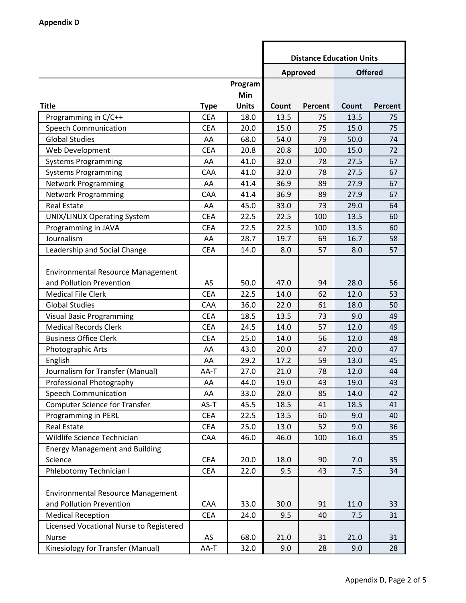|                                          |             |              | <b>Distance Education Units</b> |                 |       |                |  |
|------------------------------------------|-------------|--------------|---------------------------------|-----------------|-------|----------------|--|
|                                          |             |              |                                 | <b>Approved</b> |       | <b>Offered</b> |  |
|                                          |             | Program      |                                 |                 |       |                |  |
|                                          |             | Min          |                                 |                 |       |                |  |
| <b>Title</b>                             | <b>Type</b> | <b>Units</b> | Count                           | Percent         | Count | Percent        |  |
| Programming in C/C++                     | <b>CEA</b>  | 18.0         | 13.5                            | 75              | 13.5  | 75             |  |
| <b>Speech Communication</b>              | <b>CEA</b>  | 20.0         | 15.0                            | 75              | 15.0  | 75             |  |
| <b>Global Studies</b>                    | AA          | 68.0         | 54.0                            | 79              | 50.0  | 74             |  |
| Web Development                          | <b>CEA</b>  | 20.8         | 20.8                            | 100             | 15.0  | 72             |  |
| <b>Systems Programming</b>               | AA          | 41.0         | 32.0                            | 78              | 27.5  | 67             |  |
| <b>Systems Programming</b>               | CAA         | 41.0         | 32.0                            | 78              | 27.5  | 67             |  |
| <b>Network Programming</b>               | AA          | 41.4         | 36.9                            | 89              | 27.9  | 67             |  |
| <b>Network Programming</b>               | CAA         | 41.4         | 36.9                            | 89              | 27.9  | 67             |  |
| <b>Real Estate</b>                       | AA          | 45.0         | 33.0                            | 73              | 29.0  | 64             |  |
| <b>UNIX/LINUX Operating System</b>       | <b>CEA</b>  | 22.5         | 22.5                            | 100             | 13.5  | 60             |  |
| Programming in JAVA                      | <b>CEA</b>  | 22.5         | 22.5                            | 100             | 13.5  | 60             |  |
| Journalism                               | AA          | 28.7         | 19.7                            | 69              | 16.7  | 58             |  |
| Leadership and Social Change             | <b>CEA</b>  | 14.0         | 8.0                             | 57              | 8.0   | 57             |  |
|                                          |             |              |                                 |                 |       |                |  |
| <b>Environmental Resource Management</b> |             |              |                                 |                 |       |                |  |
| and Pollution Prevention                 | AS          | 50.0         | 47.0                            | 94              | 28.0  | 56             |  |
| <b>Medical File Clerk</b>                | <b>CEA</b>  | 22.5         | 14.0                            | 62              | 12.0  | 53             |  |
| <b>Global Studies</b>                    | CAA         | 36.0         | 22.0                            | 61              | 18.0  | 50             |  |
| <b>Visual Basic Programming</b>          | <b>CEA</b>  | 18.5         | 13.5                            | 73              | 9.0   | 49             |  |
| <b>Medical Records Clerk</b>             | <b>CEA</b>  | 24.5         | 14.0                            | 57              | 12.0  | 49             |  |
| <b>Business Office Clerk</b>             | <b>CEA</b>  | 25.0         | 14.0                            | 56              | 12.0  | 48             |  |
| Photographic Arts                        | AA          | 43.0         | 20.0                            | 47              | 20.0  | 47             |  |
| English                                  | AA          | 29.2         | 17.2                            | 59              | 13.0  | 45             |  |
| Journalism for Transfer (Manual)         | AA-T        | 27.0         | 21.0                            | 78              | 12.0  | 44             |  |
| Professional Photography                 | AA          | 44.0         | 19.0                            | 43              | 19.0  | 43             |  |
| <b>Speech Communication</b>              | AA          | 33.0         | 28.0                            | 85              | 14.0  | 42             |  |
| <b>Computer Science for Transfer</b>     | AS-T        | 45.5         | 18.5                            | 41              | 18.5  | 41             |  |
| Programming in PERL                      | <b>CEA</b>  | 22.5         | 13.5                            | 60              | 9.0   | 40             |  |
| <b>Real Estate</b>                       | <b>CEA</b>  | 25.0         | 13.0                            | 52              | 9.0   | 36             |  |
| Wildlife Science Technician              | CAA         | 46.0         | 46.0                            | 100             | 16.0  | 35             |  |
| <b>Energy Management and Building</b>    |             |              |                                 |                 |       |                |  |
| Science                                  | <b>CEA</b>  | 20.0         | 18.0                            | 90              | 7.0   | 35             |  |
| Phlebotomy Technician I                  | <b>CEA</b>  | 22.0         | 9.5                             | 43              | 7.5   | 34             |  |
|                                          |             |              |                                 |                 |       |                |  |
| <b>Environmental Resource Management</b> |             |              |                                 |                 |       |                |  |
| and Pollution Prevention                 | CAA         | 33.0         | 30.0                            | 91              | 11.0  | 33             |  |
| <b>Medical Reception</b>                 | <b>CEA</b>  | 24.0         | 9.5                             | 40              | 7.5   | 31             |  |
| Licensed Vocational Nurse to Registered  |             |              |                                 |                 |       |                |  |
| Nurse                                    | AS          | 68.0         | 21.0                            | 31              | 21.0  | 31             |  |
| Kinesiology for Transfer (Manual)        | AA-T        | 32.0         | 9.0                             | 28              | 9.0   | 28             |  |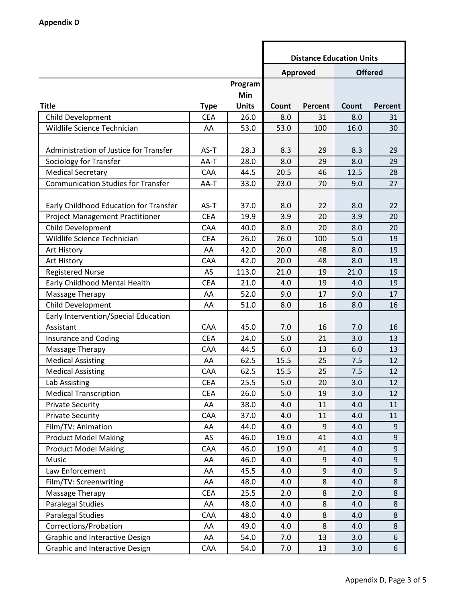|                                           |             |                | <b>Distance Education Units</b> |          |       |                  |  |
|-------------------------------------------|-------------|----------------|---------------------------------|----------|-------|------------------|--|
|                                           |             |                |                                 | Approved |       | <b>Offered</b>   |  |
|                                           |             | Program<br>Min |                                 |          |       |                  |  |
| <b>Title</b>                              | <b>Type</b> | <b>Units</b>   | Count                           | Percent  | Count | <b>Percent</b>   |  |
| Child Development                         | <b>CEA</b>  | 26.0           | 8.0                             | 31       | 8.0   | 31               |  |
| Wildlife Science Technician               | AA          | 53.0           | 53.0                            | 100      | 16.0  | 30               |  |
|                                           |             |                |                                 |          |       |                  |  |
| Administration of Justice for Transfer    | AS-T        | 28.3           | 8.3                             | 29       | 8.3   | 29               |  |
| Sociology for Transfer                    | AA-T        | 28.0           | 8.0                             | 29       | 8.0   | 29               |  |
| <b>Medical Secretary</b>                  | CAA         | 44.5           | 20.5                            | 46       | 12.5  | 28               |  |
| <b>Communication Studies for Transfer</b> | AA-T        | 33.0           | 23.0                            | 70       | 9.0   | 27               |  |
|                                           |             |                |                                 |          |       |                  |  |
| Early Childhood Education for Transfer    | AS-T        | 37.0           | 8.0                             | 22       | 8.0   | 22               |  |
| <b>Project Management Practitioner</b>    | <b>CEA</b>  | 19.9           | 3.9                             | 20       | 3.9   | 20               |  |
| Child Development                         | CAA         | 40.0           | 8.0                             | 20       | 8.0   | 20               |  |
| Wildlife Science Technician               | <b>CEA</b>  | 26.0           | 26.0                            | 100      | 5.0   | 19               |  |
| Art History                               | AA          | 42.0           | 20.0                            | 48       | 8.0   | 19               |  |
| Art History                               | CAA         | 42.0           | 20.0                            | 48       | 8.0   | 19               |  |
| <b>Registered Nurse</b>                   | AS          | 113.0          | 21.0                            | 19       | 21.0  | 19               |  |
| Early Childhood Mental Health             | <b>CEA</b>  | 21.0           | 4.0                             | 19       | 4.0   | 19               |  |
| Massage Therapy                           | AA          | 52.0           | 9.0                             | 17       | 9.0   | 17               |  |
| Child Development                         | AA          | 51.0           | 8.0                             | 16       | 8.0   | 16               |  |
| Early Intervention/Special Education      |             |                |                                 |          |       |                  |  |
| Assistant                                 | CAA         | 45.0           | 7.0                             | 16       | 7.0   | 16               |  |
| Insurance and Coding                      | <b>CEA</b>  | 24.0           | 5.0                             | 21       | 3.0   | 13               |  |
| Massage Therapy                           | CAA         | 44.5           | 6.0                             | 13       | 6.0   | 13               |  |
| <b>Medical Assisting</b>                  | AA          | 62.5           | 15.5                            | 25       | 7.5   | 12               |  |
| <b>Medical Assisting</b>                  | CAA         | 62.5           | 15.5                            | 25       | 7.5   | 12               |  |
| Lab Assisting                             | <b>CEA</b>  | 25.5           | 5.0                             | 20       | 3.0   | 12               |  |
| <b>Medical Transcription</b>              | <b>CEA</b>  | 26.0           | 5.0                             | 19       | 3.0   | 12               |  |
| <b>Private Security</b>                   | AA          | 38.0           | 4.0                             | 11       | 4.0   | 11               |  |
| <b>Private Security</b>                   | CAA         | 37.0           | 4.0                             | 11       | 4.0   | 11               |  |
| Film/TV: Animation                        | AA          | 44.0           | 4.0                             | 9        | 4.0   | 9                |  |
| <b>Product Model Making</b>               | AS          | 46.0           | 19.0                            | 41       | 4.0   | 9                |  |
| <b>Product Model Making</b>               | CAA         | 46.0           | 19.0                            | 41       | 4.0   | 9                |  |
| Music                                     | AA          | 46.0           | 4.0                             | 9        | 4.0   | 9                |  |
| Law Enforcement                           | AA          | 45.5           | 4.0                             | 9        | 4.0   | $\boldsymbol{9}$ |  |
| Film/TV: Screenwriting                    | AA          | 48.0           | 4.0                             | 8        | 4.0   | 8                |  |
| Massage Therapy                           | <b>CEA</b>  | 25.5           | 2.0                             | 8        | 2.0   | 8                |  |
| <b>Paralegal Studies</b>                  | AA          | 48.0           | 4.0                             | 8        | 4.0   | 8                |  |
| <b>Paralegal Studies</b>                  | CAA         | 48.0           | 4.0                             | 8        | 4.0   | 8                |  |
| Corrections/Probation                     | AA          | 49.0           | 4.0                             | 8        | 4.0   | 8                |  |
| <b>Graphic and Interactive Design</b>     | AA          | 54.0           | 7.0                             | 13       | 3.0   | 6                |  |
| Graphic and Interactive Design            | CAA         | 54.0           | 7.0                             | 13       | 3.0   | 6                |  |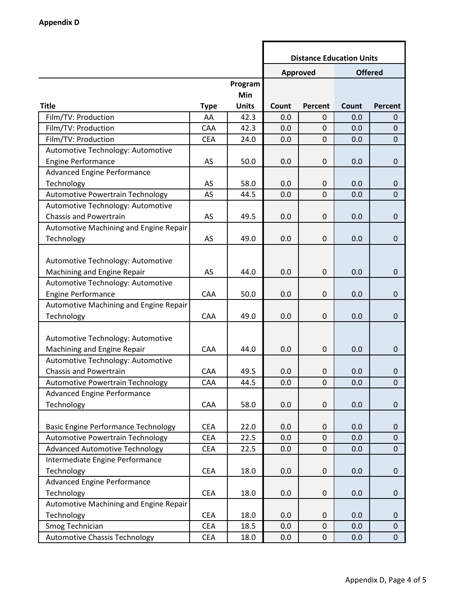|                                            |             |              | <b>Distance Education Units</b> |                  |       |                |
|--------------------------------------------|-------------|--------------|---------------------------------|------------------|-------|----------------|
|                                            |             |              |                                 | Approved         |       | <b>Offered</b> |
|                                            |             | Program      |                                 |                  |       |                |
|                                            |             | Min          |                                 |                  |       |                |
| <b>Title</b>                               | <b>Type</b> | <b>Units</b> | Count                           | <b>Percent</b>   | Count | <b>Percent</b> |
| Film/TV: Production                        | AA          | 42.3         | 0.0                             | 0                | 0.0   | 0              |
| Film/TV: Production                        | CAA         | 42.3         | 0.0                             | $\mathbf 0$      | 0.0   | $\mathbf 0$    |
| Film/TV: Production                        | <b>CEA</b>  | 24.0         | 0.0                             | $\boldsymbol{0}$ | 0.0   | $\mathbf{0}$   |
| Automotive Technology: Automotive          |             |              |                                 |                  |       |                |
| <b>Engine Performance</b>                  | AS          | 50.0         | 0.0                             | $\mathbf 0$      | 0.0   | $\mathbf 0$    |
| <b>Advanced Engine Performance</b>         |             |              |                                 |                  |       |                |
| Technology                                 | AS          | 58.0         | 0.0                             | $\boldsymbol{0}$ | 0.0   | $\mathbf 0$    |
| Automotive Powertrain Technology           | AS          | 44.5         | 0.0                             | $\mathbf 0$      | 0.0   | $\mathbf 0$    |
| Automotive Technology: Automotive          |             |              |                                 |                  |       |                |
| <b>Chassis and Powertrain</b>              | AS          | 49.5         | 0.0                             | $\boldsymbol{0}$ | 0.0   | $\mathbf 0$    |
| Automotive Machining and Engine Repair     |             |              |                                 |                  |       |                |
| Technology                                 | AS          | 49.0         | 0.0                             | $\boldsymbol{0}$ | 0.0   | $\mathbf{0}$   |
|                                            |             |              |                                 |                  |       |                |
| Automotive Technology: Automotive          |             |              |                                 |                  |       |                |
| Machining and Engine Repair                | AS          | 44.0         | 0.0                             | $\boldsymbol{0}$ | 0.0   | $\mathbf 0$    |
| Automotive Technology: Automotive          |             |              |                                 |                  |       |                |
| <b>Engine Performance</b>                  | CAA         | 50.0         | 0.0                             | $\boldsymbol{0}$ | 0.0   | $\mathbf{0}$   |
| Automotive Machining and Engine Repair     |             |              |                                 |                  |       |                |
| Technology                                 | CAA         | 49.0         | 0.0                             | $\boldsymbol{0}$ | 0.0   | $\pmb{0}$      |
|                                            |             |              |                                 |                  |       |                |
| Automotive Technology: Automotive          |             |              |                                 |                  |       |                |
| Machining and Engine Repair                | CAA         | 44.0         | 0.0                             | $\boldsymbol{0}$ | 0.0   | $\mathbf 0$    |
| Automotive Technology: Automotive          |             |              |                                 |                  |       |                |
| <b>Chassis and Powertrain</b>              | CAA         | 49.5         | 0.0                             | 0                | 0.0   | $\pmb{0}$      |
| Automotive Powertrain Technology           | CAA         | 44.5         | 0.0                             | $\mathbf 0$      | 0.0   | 0              |
| <b>Advanced Engine Performance</b>         |             |              |                                 |                  |       |                |
| Technology                                 | CAA         | 58.0         | 0.0                             | $\boldsymbol{0}$ | 0.0   | $\mathbf 0$    |
|                                            |             |              |                                 |                  |       |                |
| <b>Basic Engine Performance Technology</b> | <b>CEA</b>  | 22.0         | 0.0                             | $\pmb{0}$        | 0.0   | $\mathbf 0$    |
| Automotive Powertrain Technology           | <b>CEA</b>  | 22.5         | 0.0                             | $\pmb{0}$        | 0.0   | $\mathbf 0$    |
| <b>Advanced Automotive Technology</b>      | <b>CEA</b>  | 22.5         | 0.0                             | 0                | 0.0   | $\mathbf 0$    |
| Intermediate Engine Performance            |             |              |                                 |                  |       |                |
| Technology                                 | <b>CEA</b>  | 18.0         | 0.0                             | $\boldsymbol{0}$ | 0.0   | $\pmb{0}$      |
| <b>Advanced Engine Performance</b>         |             |              |                                 |                  |       |                |
| Technology                                 | <b>CEA</b>  | 18.0         | 0.0                             | $\pmb{0}$        | 0.0   | $\mathbf 0$    |
| Automotive Machining and Engine Repair     |             |              |                                 |                  |       |                |
| Technology                                 | <b>CEA</b>  | 18.0         | 0.0                             | 0                | 0.0   | 0              |
| Smog Technician                            | <b>CEA</b>  | 18.5         | 0.0                             | 0                | 0.0   | $\mathbf 0$    |
| <b>Automotive Chassis Technology</b>       | <b>CEA</b>  | 18.0         | 0.0                             | $\pmb{0}$        | 0.0   | $\mathbf 0$    |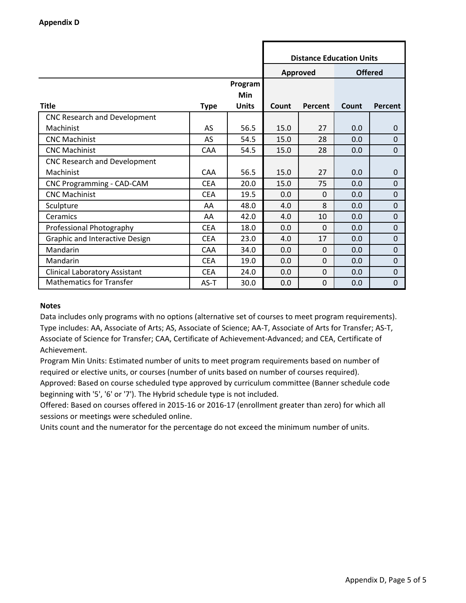|                                       |             |                       | <b>Distance Education Units</b> |                |       |                |  |
|---------------------------------------|-------------|-----------------------|---------------------------------|----------------|-------|----------------|--|
|                                       |             |                       | Approved                        | <b>Offered</b> |       |                |  |
|                                       |             | <b>Program</b><br>Min |                                 |                |       |                |  |
| <b>Title</b>                          | <b>Type</b> | <b>Units</b>          | Count                           | Percent        | Count | Percent        |  |
| <b>CNC Research and Development</b>   |             |                       |                                 |                |       |                |  |
| Machinist                             | AS          | 56.5                  | 15.0                            | 27             | 0.0   | $\mathbf 0$    |  |
| <b>CNC Machinist</b>                  | <b>AS</b>   | 54.5                  | 15.0                            | 28             | 0.0   | $\Omega$       |  |
| <b>CNC Machinist</b>                  | <b>CAA</b>  | 54.5                  | 15.0                            | 28             | 0.0   | $\overline{0}$ |  |
| <b>CNC Research and Development</b>   |             |                       |                                 |                |       |                |  |
| Machinist                             | <b>CAA</b>  | 56.5                  | 15.0                            | 27             | 0.0   | $\Omega$       |  |
| CNC Programming - CAD-CAM             | <b>CEA</b>  | 20.0                  | 15.0                            | 75             | 0.0   | $\mathbf 0$    |  |
| <b>CNC Machinist</b>                  | <b>CEA</b>  | 19.5                  | 0.0                             | $\Omega$       | 0.0   | $\mathbf 0$    |  |
| Sculpture                             | AA          | 48.0                  | 4.0                             | 8              | 0.0   | $\overline{0}$ |  |
| Ceramics                              | AA          | 42.0                  | 4.0                             | 10             | 0.0   | $\mathbf 0$    |  |
| Professional Photography              | <b>CEA</b>  | 18.0                  | 0.0                             | $\mathbf 0$    | 0.0   | $\mathbf 0$    |  |
| <b>Graphic and Interactive Design</b> | <b>CEA</b>  | 23.0                  | 4.0                             | 17             | 0.0   | $\overline{0}$ |  |
| Mandarin                              | CAA         | 34.0                  | 0.0                             | $\Omega$       | 0.0   | $\mathbf 0$    |  |
| Mandarin                              | <b>CEA</b>  | 19.0                  | 0.0                             | 0              | 0.0   | $\mathbf 0$    |  |
| <b>Clinical Laboratory Assistant</b>  | <b>CEA</b>  | 24.0                  | 0.0                             | 0              | 0.0   | $\Omega$       |  |
| <b>Mathematics for Transfer</b>       | AS-T        | 30.0                  | 0.0                             | $\Omega$       | 0.0   | $\mathbf 0$    |  |

Data includes only programs with no options (alternative set of courses to meet program requirements). Type includes: AA, Associate of Arts; AS, Associate of Science; AA-T, Associate of Arts for Transfer; AS-T, Associate of Science for Transfer; CAA, Certificate of Achievement-Advanced; and CEA, Certificate of Achievement.

Program Min Units: Estimated number of units to meet program requirements based on number of required or elective units, or courses (number of units based on number of courses required).

Approved: Based on course scheduled type approved by curriculum committee (Banner schedule code beginning with '5', '6' or '7'). The Hybrid schedule type is not included.

Offered: Based on courses offered in 2015-16 or 2016-17 (enrollment greater than zero) for which all sessions or meetings were scheduled online.

Units count and the numerator for the percentage do not exceed the minimum number of units.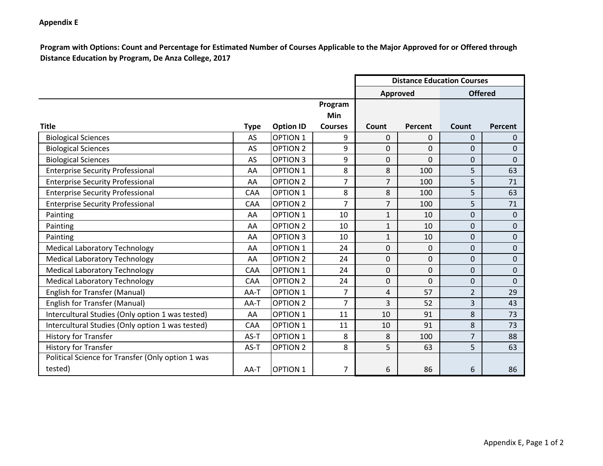#### **Appendix E**

**Program with Options: Count and Percentage for Estimated Number of Courses Applicable to the Major Approved for or Offered through Distance Education by Program, De Anza College, 2017**

|                                                   |             |                  |                | <b>Distance Education Courses</b> |             |                |                |
|---------------------------------------------------|-------------|------------------|----------------|-----------------------------------|-------------|----------------|----------------|
|                                                   |             |                  |                | <b>Approved</b>                   |             | <b>Offered</b> |                |
|                                                   |             |                  | Program        |                                   |             |                |                |
|                                                   |             |                  | Min            |                                   |             |                |                |
| <b>Title</b>                                      | <b>Type</b> | <b>Option ID</b> | <b>Courses</b> | Count                             | Percent     | Count          | Percent        |
| <b>Biological Sciences</b>                        | AS          | <b>OPTION 1</b>  | 9              | $\Omega$                          | $\Omega$    | $\Omega$       | $\overline{0}$ |
| <b>Biological Sciences</b>                        | AS          | <b>OPTION 2</b>  | 9              | 0                                 | $\Omega$    | $\mathbf{0}$   | $\Omega$       |
| <b>Biological Sciences</b>                        | AS          | <b>OPTION 3</b>  | 9              | 0                                 | $\mathbf 0$ | $\mathbf 0$    | $\Omega$       |
| <b>Enterprise Security Professional</b>           | AA          | <b>OPTION 1</b>  | 8              | 8                                 | 100         | 5              | 63             |
| <b>Enterprise Security Professional</b>           | AA          | <b>OPTION 2</b>  | $\overline{7}$ | $\overline{7}$                    | 100         | 5              | 71             |
| <b>Enterprise Security Professional</b>           | <b>CAA</b>  | <b>OPTION 1</b>  | 8              | 8                                 | 100         | 5              | 63             |
| <b>Enterprise Security Professional</b>           | <b>CAA</b>  | <b>OPTION 2</b>  | $\overline{7}$ | $\overline{7}$                    | 100         | 5              | 71             |
| Painting                                          | AA          | <b>OPTION 1</b>  | 10             | $\mathbf{1}$                      | 10          | $\mathbf{0}$   | $\mathbf 0$    |
| Painting                                          | AA          | <b>OPTION 2</b>  | 10             | $\mathbf{1}$                      | 10          | $\mathbf 0$    | $\mathbf 0$    |
| Painting                                          | AA          | <b>OPTION 3</b>  | 10             | $\mathbf{1}$                      | 10          | $\Omega$       | $\Omega$       |
| <b>Medical Laboratory Technology</b>              | AA          | <b>OPTION 1</b>  | 24             | $\Omega$                          | 0           | $\Omega$       | $\Omega$       |
| <b>Medical Laboratory Technology</b>              | AA          | <b>OPTION 2</b>  | 24             | 0                                 | 0           | 0              | $\mathbf 0$    |
| <b>Medical Laboratory Technology</b>              | <b>CAA</b>  | <b>OPTION 1</b>  | 24             | $\Omega$                          | $\Omega$    | $\Omega$       | $\Omega$       |
| <b>Medical Laboratory Technology</b>              | <b>CAA</b>  | <b>OPTION 2</b>  | 24             | 0                                 | $\mathbf 0$ | 0              | $\mathbf 0$    |
| English for Transfer (Manual)                     | AA-T        | <b>OPTION 1</b>  | $\overline{7}$ | 4                                 | 57          | $\overline{2}$ | 29             |
| <b>English for Transfer (Manual)</b>              | AA-T        | <b>OPTION 2</b>  | $\overline{7}$ | 3                                 | 52          | 3              | 43             |
| Intercultural Studies (Only option 1 was tested)  | AA          | <b>OPTION 1</b>  | 11             | 10                                | 91          | 8              | 73             |
| Intercultural Studies (Only option 1 was tested)  | CAA         | <b>OPTION 1</b>  | 11             | 10                                | 91          | 8              | 73             |
| <b>History for Transfer</b>                       | AS-T        | <b>OPTION 1</b>  | 8              | 8                                 | 100         | $\overline{7}$ | 88             |
| <b>History for Transfer</b>                       | AS-T        | <b>OPTION 2</b>  | 8              | 5                                 | 63          | 5              | 63             |
| Political Science for Transfer (Only option 1 was |             |                  |                |                                   |             |                |                |
| tested)                                           | AA-T        | <b>OPTION 1</b>  | $\overline{7}$ | 6                                 | 86          | 6              | 86             |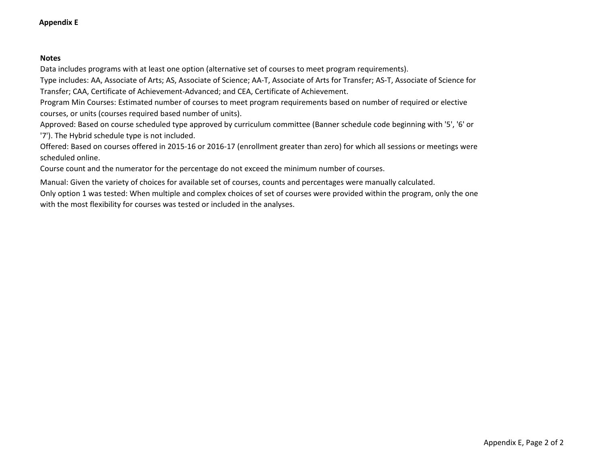#### **Appendix E**

#### **Notes**

Data includes programs with at least one option (alternative set of courses to meet program requirements).

Type includes: AA, Associate of Arts; AS, Associate of Science; AA-T, Associate of Arts for Transfer; AS-T, Associate of Science for Transfer; CAA, Certificate of Achievement-Advanced; and CEA, Certificate of Achievement.

Program Min Courses: Estimated number of courses to meet program requirements based on number of required or elective courses, or units (courses required based number of units).

Approved: Based on course scheduled type approved by curriculum committee (Banner schedule code beginning with '5', '6' or '7'). The Hybrid schedule type is not included.

Offered: Based on courses offered in 2015-16 or 2016-17 (enrollment greater than zero) for which all sessions or meetings were scheduled online.

Course count and the numerator for the percentage do not exceed the minimum number of courses.

Manual: Given the variety of choices for available set of courses, counts and percentages were manually calculated. Only option 1 was tested: When multiple and complex choices of set of courses were provided within the program, only the one with the most flexibility for courses was tested or included in the analyses.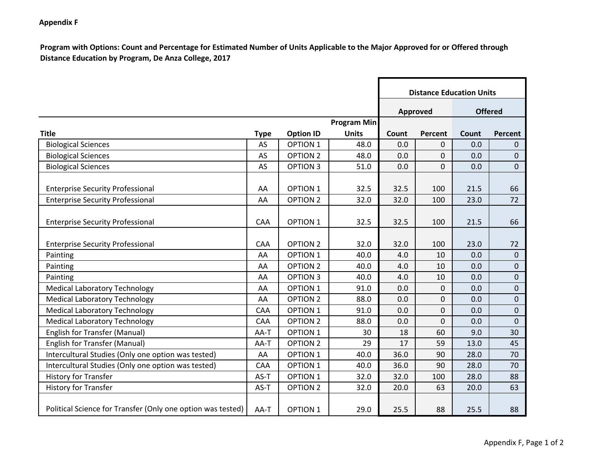#### **Appendix F**

**Program with Options: Count and Percentage for Estimated Number of Units Applicable to the Major Approved for or Offered through Distance Education by Program, De Anza College, 2017**

|                                                             |             |                  |                    |       | <b>Distance Education Units</b> |       |                  |
|-------------------------------------------------------------|-------------|------------------|--------------------|-------|---------------------------------|-------|------------------|
|                                                             |             |                  |                    |       | <b>Approved</b>                 |       | <b>Offered</b>   |
|                                                             |             |                  | <b>Program Min</b> |       |                                 |       |                  |
| <b>Title</b>                                                | <b>Type</b> | <b>Option ID</b> | <b>Units</b>       | Count | <b>Percent</b>                  | Count | Percent          |
| <b>Biological Sciences</b>                                  | AS          | <b>OPTION 1</b>  | 48.0               | 0.0   | 0                               | 0.0   | $\mathbf{0}$     |
| <b>Biological Sciences</b>                                  | AS          | <b>OPTION 2</b>  | 48.0               | 0.0   | 0                               | 0.0   | $\mathbf{0}$     |
| <b>Biological Sciences</b>                                  | AS          | <b>OPTION 3</b>  | 51.0               | 0.0   | 0                               | 0.0   | $\overline{0}$   |
| <b>Enterprise Security Professional</b>                     | AA          | <b>OPTION 1</b>  | 32.5               | 32.5  | 100                             | 21.5  | 66               |
| <b>Enterprise Security Professional</b>                     | AA          | <b>OPTION 2</b>  | 32.0               | 32.0  | 100                             | 23.0  | 72               |
| <b>Enterprise Security Professional</b>                     | CAA         | <b>OPTION 1</b>  | 32.5               | 32.5  | 100                             | 21.5  | 66               |
| <b>Enterprise Security Professional</b>                     | CAA         | <b>OPTION 2</b>  | 32.0               | 32.0  | 100                             | 23.0  | 72               |
| Painting                                                    | AA          | <b>OPTION 1</b>  | 40.0               | 4.0   | 10                              | 0.0   | $\overline{0}$   |
| Painting                                                    | AA          | <b>OPTION 2</b>  | 40.0               | 4.0   | 10                              | 0.0   | $\overline{0}$   |
| Painting                                                    | AA          | <b>OPTION 3</b>  | 40.0               | 4.0   | 10                              | 0.0   | $\overline{0}$   |
| <b>Medical Laboratory Technology</b>                        | AA          | <b>OPTION 1</b>  | 91.0               | 0.0   | 0                               | 0.0   | $\boldsymbol{0}$ |
| <b>Medical Laboratory Technology</b>                        | AA          | <b>OPTION 2</b>  | 88.0               | 0.0   | 0                               | 0.0   | 0                |
| <b>Medical Laboratory Technology</b>                        | CAA         | <b>OPTION 1</b>  | 91.0               | 0.0   | 0                               | 0.0   | $\mathbf 0$      |
| <b>Medical Laboratory Technology</b>                        | CAA         | <b>OPTION 2</b>  | 88.0               | 0.0   | 0                               | 0.0   | $\mathbf 0$      |
| <b>English for Transfer (Manual)</b>                        | AA-T        | OPTION 1         | 30                 | 18    | 60                              | 9.0   | 30               |
| <b>English for Transfer (Manual)</b>                        | AA-T        | <b>OPTION 2</b>  | 29                 | 17    | 59                              | 13.0  | 45               |
| Intercultural Studies (Only one option was tested)          | AA          | OPTION 1         | 40.0               | 36.0  | 90                              | 28.0  | 70               |
| Intercultural Studies (Only one option was tested)          | CAA         | <b>OPTION 1</b>  | 40.0               | 36.0  | 90                              | 28.0  | 70               |
| <b>History for Transfer</b>                                 | AS-T        | <b>OPTION 1</b>  | 32.0               | 32.0  | 100                             | 28.0  | 88               |
| <b>History for Transfer</b>                                 | AS-T        | <b>OPTION 2</b>  | 32.0               | 20.0  | 63                              | 20.0  | 63               |
| Political Science for Transfer (Only one option was tested) | AA-T        | <b>OPTION 1</b>  | 29.0               | 25.5  | 88                              | 25.5  | 88               |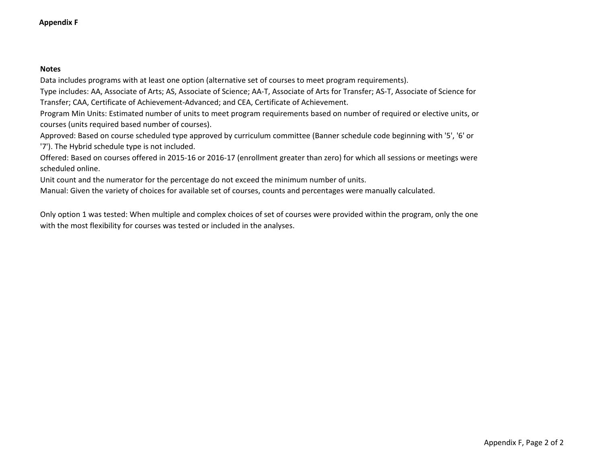Data includes programs with at least one option (alternative set of courses to meet program requirements).

Type includes: AA, Associate of Arts; AS, Associate of Science; AA-T, Associate of Arts for Transfer; AS-T, Associate of Science for Transfer; CAA, Certificate of Achievement-Advanced; and CEA, Certificate of Achievement.

Program Min Units: Estimated number of units to meet program requirements based on number of required or elective units, or courses (units required based number of courses).

Approved: Based on course scheduled type approved by curriculum committee (Banner schedule code beginning with '5', '6' or '7'). The Hybrid schedule type is not included.

Offered: Based on courses offered in 2015-16 or 2016-17 (enrollment greater than zero) for which all sessions or meetings were scheduled online.

Unit count and the numerator for the percentage do not exceed the minimum number of units.

Manual: Given the variety of choices for available set of courses, counts and percentages were manually calculated.

Only option 1 was tested: When multiple and complex choices of set of courses were provided within the program, only the one with the most flexibility for courses was tested or included in the analyses.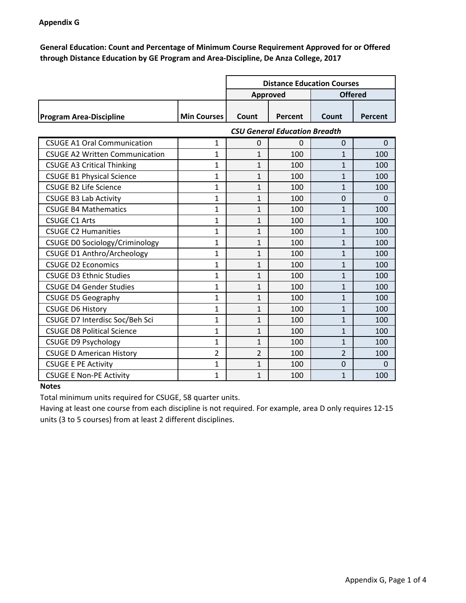#### **Appendix G**

**General Education: Count and Percentage of Minimum Course Requirement Approved for or Offered through Distance Education by GE Program and Area-Discipline, De Anza College, 2017**

|                                |                    | <b>Distance Education Courses</b> |         |       |                |
|--------------------------------|--------------------|-----------------------------------|---------|-------|----------------|
|                                |                    | <b>Offered</b><br>Approved        |         |       |                |
|                                |                    |                                   |         |       |                |
| <b>Program Area-Discipline</b> | <b>Min Courses</b> | Count                             | Percent | Count | <b>Percent</b> |

|                                       | <b>CSU General Education Breadth</b> |              |          |                |          |
|---------------------------------------|--------------------------------------|--------------|----------|----------------|----------|
| <b>CSUGE A1 Oral Communication</b>    | 1                                    | 0            | $\Omega$ | $\Omega$       | $\Omega$ |
| <b>CSUGE A2 Written Communication</b> | 1                                    | $\mathbf{1}$ | 100      | 1              | 100      |
| <b>CSUGE A3 Critical Thinking</b>     | 1                                    | $\mathbf{1}$ | 100      | $\mathbf{1}$   | 100      |
| <b>CSUGE B1 Physical Science</b>      | 1                                    | $\mathbf{1}$ | 100      | 1              | 100      |
| <b>CSUGE B2 Life Science</b>          | 1                                    | $\mathbf{1}$ | 100      | 1              | 100      |
| <b>CSUGE B3 Lab Activity</b>          | 1                                    | $\mathbf{1}$ | 100      | $\Omega$       | $\Omega$ |
| <b>CSUGE B4 Mathematics</b>           | 1                                    | 1            | 100      | $\mathbf{1}$   | 100      |
| <b>CSUGE C1 Arts</b>                  | 1                                    | $\mathbf{1}$ | 100      | $\mathbf{1}$   | 100      |
| <b>CSUGE C2 Humanities</b>            | 1                                    | $\mathbf{1}$ | 100      | 1              | 100      |
| <b>CSUGE DO Sociology/Criminology</b> | 1                                    | $\mathbf{1}$ | 100      | $\mathbf{1}$   | 100      |
| <b>CSUGE D1 Anthro/Archeology</b>     | 1                                    | $\mathbf{1}$ | 100      | $\mathbf{1}$   | 100      |
| <b>CSUGE D2 Economics</b>             | 1                                    | $\mathbf{1}$ | 100      | $\mathbf{1}$   | 100      |
| <b>CSUGE D3 Ethnic Studies</b>        | 1                                    | 1            | 100      | 1              | 100      |
| <b>CSUGE D4 Gender Studies</b>        | 1                                    | $\mathbf{1}$ | 100      | 1              | 100      |
| <b>CSUGE D5 Geography</b>             | $\overline{1}$                       | $\mathbf{1}$ | 100      | $\mathbf{1}$   | 100      |
| <b>CSUGE D6 History</b>               | 1                                    | $\mathbf{1}$ | 100      | 1              | 100      |
| CSUGE D7 Interdisc Soc/Beh Sci        | 1                                    | $\mathbf{1}$ | 100      | 1              | 100      |
| <b>CSUGE D8 Political Science</b>     | 1                                    | $\mathbf{1}$ | 100      | 1              | 100      |
| <b>CSUGE D9 Psychology</b>            | 1                                    | $\mathbf{1}$ | 100      | 1              | 100      |
| <b>CSUGE D American History</b>       | 2                                    | 2            | 100      | $\overline{2}$ | 100      |
| <b>CSUGE E PE Activity</b>            | 1                                    | $\mathbf{1}$ | 100      | $\Omega$       | $\Omega$ |
| <b>CSUGE E Non-PE Activity</b>        | 1                                    | 1            | 100      | $\mathbf{1}$   | 100      |

#### **Notes**

Total minimum units required for CSUGE, 58 quarter units.

Having at least one course from each discipline is not required. For example, area D only requires 12-15 units (3 to 5 courses) from at least 2 different disciplines.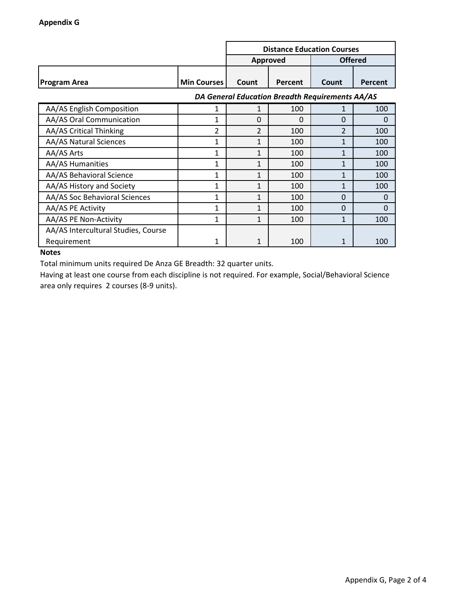|                                     |                                                 | <b>Distance Education Courses</b> |          |                |          |  |
|-------------------------------------|-------------------------------------------------|-----------------------------------|----------|----------------|----------|--|
|                                     |                                                 | <b>Offered</b><br><b>Approved</b> |          |                |          |  |
| <b>Program Area</b>                 | <b>Min Courses</b>                              | Count                             | Percent  | Count          | Percent  |  |
|                                     | DA General Education Breadth Requirements AA/AS |                                   |          |                |          |  |
| AA/AS English Composition           | 1                                               | 1                                 | 100      | $\mathbf{1}$   | 100      |  |
| AA/AS Oral Communication            | 1                                               | $\Omega$                          | $\Omega$ | 0              | $\Omega$ |  |
| AA/AS Critical Thinking             | 2                                               | 2                                 | 100      | $\overline{2}$ | 100      |  |
| AA/AS Natural Sciences              | 1                                               | 1                                 | 100      | 1              | 100      |  |
| AA/AS Arts                          | 1                                               | 1                                 | 100      | 1              | 100      |  |
| <b>AA/AS Humanities</b>             | 1                                               | 1                                 | 100      | 1              | 100      |  |
| AA/AS Behavioral Science            | 1                                               | 1                                 | 100      | 1              | 100      |  |
| AA/AS History and Society           | 1                                               | 1                                 | 100      | 1              | 100      |  |
| AA/AS Soc Behavioral Sciences       | 1                                               | 1                                 | 100      | 0              | $\Omega$ |  |
| AA/AS PE Activity                   | 1                                               | 1                                 | 100      | 0              | $\Omega$ |  |
| AA/AS PE Non-Activity               | 1                                               | $\mathbf{1}$                      | 100      | 1              | 100      |  |
| AA/AS Intercultural Studies, Course |                                                 |                                   |          |                |          |  |
| Requirement                         |                                                 | 1                                 | 100      | 1              | 100      |  |

Total minimum units required De Anza GE Breadth: 32 quarter units.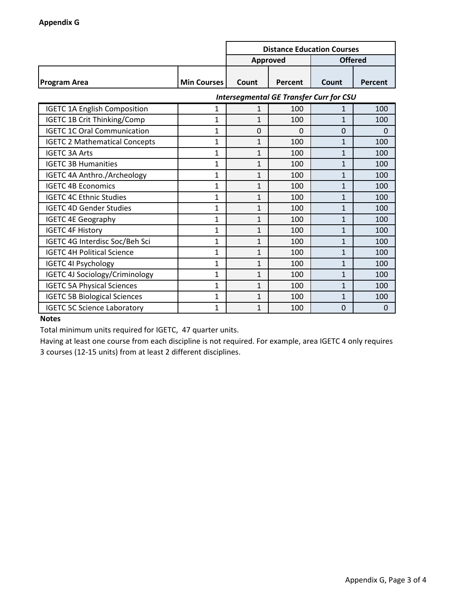|                                      |                    | <b>Distance Education Courses</b> |                                                |                |                |
|--------------------------------------|--------------------|-----------------------------------|------------------------------------------------|----------------|----------------|
|                                      |                    | Approved                          |                                                | <b>Offered</b> |                |
| <b>Program Area</b>                  | <b>Min Courses</b> | Count                             | Percent                                        | Count          | <b>Percent</b> |
|                                      |                    |                                   | <b>Intersegmental GE Transfer Curr for CSU</b> |                |                |
| <b>IGETC 1A English Composition</b>  | $\mathbf{1}$       | $\mathbf{1}$                      | 100                                            | 1              | 100            |
| <b>IGETC 1B Crit Thinking/Comp</b>   | 1                  | $\mathbf{1}$                      | 100                                            | 1              | 100            |
| <b>IGETC 1C Oral Communication</b>   | $\overline{1}$     | $\overline{0}$                    | $\Omega$                                       | 0              | 0              |
| <b>IGETC 2 Mathematical Concepts</b> | 1                  | $\mathbf{1}$                      | 100                                            | $\mathbf{1}$   | 100            |
| <b>IGETC 3A Arts</b>                 | 1                  | 1                                 | 100                                            | 1              | 100            |
| <b>IGETC 3B Humanities</b>           | $\overline{1}$     | $\mathbf{1}$                      | 100                                            | $\mathbf{1}$   | 100            |
| IGETC 4A Anthro./Archeology          | 1                  | 1                                 | 100                                            | 1              | 100            |
| <b>IGETC 4B Economics</b>            | 1                  | $\mathbf{1}$                      | 100                                            | 1              | 100            |
| <b>IGETC 4C Ethnic Studies</b>       | $\overline{1}$     | $\mathbf{1}$                      | 100                                            | 1              | 100            |
| <b>IGETC 4D Gender Studies</b>       | 1                  | $\mathbf{1}$                      | 100                                            | 1              | 100            |
| <b>IGETC 4E Geography</b>            | 1                  | $\mathbf{1}$                      | 100                                            | 1              | 100            |
| <b>IGETC 4F History</b>              | 1                  | $\mathbf{1}$                      | 100                                            | 1              | 100            |
| IGETC 4G Interdisc Soc/Beh Sci       | 1                  | $\mathbf{1}$                      | 100                                            | 1              | 100            |
| <b>IGETC 4H Political Science</b>    | $\mathbf{1}$       | $\mathbf{1}$                      | 100                                            | 1              | 100            |
| <b>IGETC 4I Psychology</b>           | $\mathbf{1}$       | $\mathbf{1}$                      | 100                                            | 1              | 100            |
| IGETC 4J Sociology/Criminology       | $\mathbf{1}$       | $\mathbf{1}$                      | 100                                            | 1              | 100            |
| <b>IGETC 5A Physical Sciences</b>    | $\mathbf{1}$       | $\mathbf{1}$                      | 100                                            | $\mathbf{1}$   | 100            |
| <b>IGETC 5B Biological Sciences</b>  | 1                  | $\mathbf{1}$                      | 100                                            | 1              | 100            |
| <b>IGETC 5C Science Laboratory</b>   | 1                  | $\mathbf{1}$                      | 100                                            | 0              | 0              |

Total minimum units required for IGETC, 47 quarter units.

Having at least one course from each discipline is not required. For example, area IGETC 4 only requires 3 courses (12-15 units) from at least 2 different disciplines.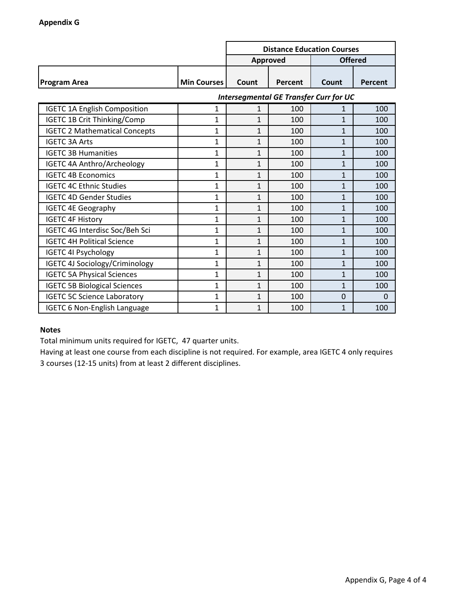|                                      |                    | <b>Distance Education Courses</b> |                                               |                |                |
|--------------------------------------|--------------------|-----------------------------------|-----------------------------------------------|----------------|----------------|
|                                      |                    |                                   | <b>Approved</b>                               | <b>Offered</b> |                |
| <b>Program Area</b>                  | <b>Min Courses</b> | Count                             | Percent                                       | Count          | <b>Percent</b> |
|                                      |                    |                                   | <b>Intersegmental GE Transfer Curr for UC</b> |                |                |
| <b>IGETC 1A English Composition</b>  | 1                  | $\mathbf 1$                       | 100                                           | 1              | 100            |
| <b>IGETC 1B Crit Thinking/Comp</b>   | 1                  | $\overline{1}$                    | 100                                           | 1              | 100            |
| <b>IGETC 2 Mathematical Concepts</b> | $\mathbf{1}$       | $\overline{1}$                    | 100                                           | $\mathbf{1}$   | 100            |
| <b>IGETC 3A Arts</b>                 | $\mathbf{1}$       | $\mathbf{1}$                      | 100                                           | $\mathbf{1}$   | 100            |
| <b>IGETC 3B Humanities</b>           | $\mathbf{1}$       | $\mathbf{1}$                      | 100                                           | 1              | 100            |
| <b>IGETC 4A Anthro/Archeology</b>    | $\mathbf{1}$       | $\mathbf{1}$                      | 100                                           | 1              | 100            |
| <b>IGETC 4B Economics</b>            | $\mathbf{1}$       | 1                                 | 100                                           | 1              | 100            |
| <b>IGETC 4C Ethnic Studies</b>       | $\mathbf{1}$       | $\mathbf{1}$                      | 100                                           | 1              | 100            |
| <b>IGETC 4D Gender Studies</b>       | $\mathbf{1}$       | $\mathbf{1}$                      | 100                                           | 1              | 100            |
| <b>IGETC 4E Geography</b>            | $\mathbf{1}$       | $\mathbf{1}$                      | 100                                           | 1              | 100            |
| <b>IGETC 4F History</b>              | $\mathbf{1}$       | $\mathbf{1}$                      | 100                                           | 1              | 100            |
| IGETC 4G Interdisc Soc/Beh Sci       | $\mathbf{1}$       | $\mathbf{1}$                      | 100                                           | 1              | 100            |
| <b>IGETC 4H Political Science</b>    | $\mathbf{1}$       | $\mathbf{1}$                      | 100                                           | $\overline{1}$ | 100            |
| <b>IGETC 4I Psychology</b>           | 1                  | $\mathbf{1}$                      | 100                                           | $\mathbf{1}$   | 100            |
| IGETC 4J Sociology/Criminology       | 1                  | $\mathbf{1}$                      | 100                                           | $\mathbf{1}$   | 100            |
| <b>IGETC 5A Physical Sciences</b>    | $\mathbf{1}$       | 1                                 | 100                                           | 1              | 100            |
| <b>IGETC 5B Biological Sciences</b>  | $\mathbf{1}$       | 1                                 | 100                                           | 1              | 100            |
| <b>IGETC 5C Science Laboratory</b>   | 1                  | 1                                 | 100                                           | 0              | $\Omega$       |
| <b>IGETC 6 Non-English Language</b>  | 1                  | 1                                 | 100                                           | 1              | 100            |

Total minimum units required for IGETC, 47 quarter units.

Having at least one course from each discipline is not required. For example, area IGETC 4 only requires 3 courses (12-15 units) from at least 2 different disciplines.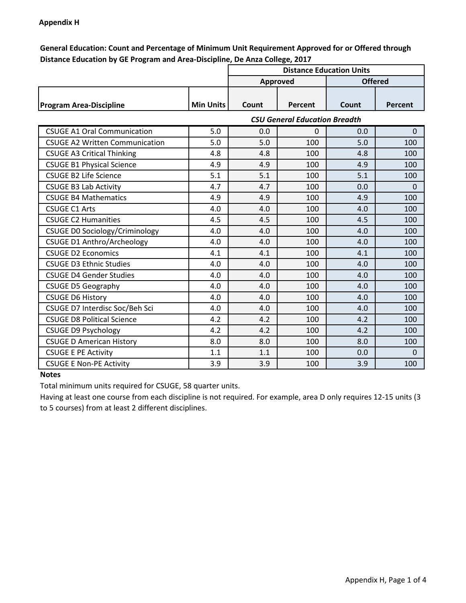#### **Appendix H**

**General Education: Count and Percentage of Minimum Unit Requirement Approved for or Offered through Distance Education by GE Program and Area-Discipline, De Anza College, 2017**

|                                       |                  | <b>Distance Education Units</b> |                                      |       |                |  |
|---------------------------------------|------------------|---------------------------------|--------------------------------------|-------|----------------|--|
|                                       |                  | Approved                        |                                      |       | <b>Offered</b> |  |
| <b>Program Area-Discipline</b>        | <b>Min Units</b> | Count                           | Percent                              | Count | Percent        |  |
|                                       |                  |                                 | <b>CSU General Education Breadth</b> |       |                |  |
| <b>CSUGE A1 Oral Communication</b>    | 5.0              | 0.0                             | $\Omega$                             | 0.0   | $\Omega$       |  |
| <b>CSUGE A2 Written Communication</b> | 5.0              | 5.0                             | 100                                  | 5.0   | 100            |  |
| <b>CSUGE A3 Critical Thinking</b>     | 4.8              | 4.8                             | 100                                  | 4.8   | 100            |  |
| <b>CSUGE B1 Physical Science</b>      | 4.9              | 4.9                             | 100                                  | 4.9   | 100            |  |
| <b>CSUGE B2 Life Science</b>          | 5.1              | 5.1                             | 100                                  | 5.1   | 100            |  |
| <b>CSUGE B3 Lab Activity</b>          | 4.7              | 4.7                             | 100                                  | 0.0   | 0              |  |
| <b>CSUGE B4 Mathematics</b>           | 4.9              | 4.9                             | 100                                  | 4.9   | 100            |  |
| <b>CSUGE C1 Arts</b>                  | 4.0              | 4.0                             | 100                                  | 4.0   | 100            |  |
| <b>CSUGE C2 Humanities</b>            | 4.5              | 4.5                             | 100                                  | 4.5   | 100            |  |
| <b>CSUGE DO Sociology/Criminology</b> | 4.0              | 4.0                             | 100                                  | 4.0   | 100            |  |
| <b>CSUGE D1 Anthro/Archeology</b>     | 4.0              | 4.0                             | 100                                  | 4.0   | 100            |  |
| <b>CSUGE D2 Economics</b>             | 4.1              | 4.1                             | 100                                  | 4.1   | 100            |  |
| <b>CSUGE D3 Ethnic Studies</b>        | 4.0              | 4.0                             | 100                                  | 4.0   | 100            |  |
| <b>CSUGE D4 Gender Studies</b>        | 4.0              | 4.0                             | 100                                  | 4.0   | 100            |  |
| <b>CSUGE D5 Geography</b>             | 4.0              | 4.0                             | 100                                  | 4.0   | 100            |  |
| <b>CSUGE D6 History</b>               | 4.0              | 4.0                             | 100                                  | 4.0   | 100            |  |
| CSUGE D7 Interdisc Soc/Beh Sci        | 4.0              | 4.0                             | 100                                  | 4.0   | 100            |  |
| <b>CSUGE D8 Political Science</b>     | 4.2              | 4.2                             | 100                                  | 4.2   | 100            |  |
| <b>CSUGE D9 Psychology</b>            | 4.2              | 4.2                             | 100                                  | 4.2   | 100            |  |
| <b>CSUGE D American History</b>       | 8.0              | 8.0                             | 100                                  | 8.0   | 100            |  |
| <b>CSUGE E PE Activity</b>            | 1.1              | 1.1                             | 100                                  | 0.0   | $\Omega$       |  |
| <b>CSUGE E Non-PE Activity</b>        | 3.9              | 3.9                             | 100                                  | 3.9   | 100            |  |

#### **Notes**

Total minimum units required for CSUGE, 58 quarter units.

Having at least one course from each discipline is not required. For example, area D only requires 12-15 units (3 to 5 courses) from at least 2 different disciplines.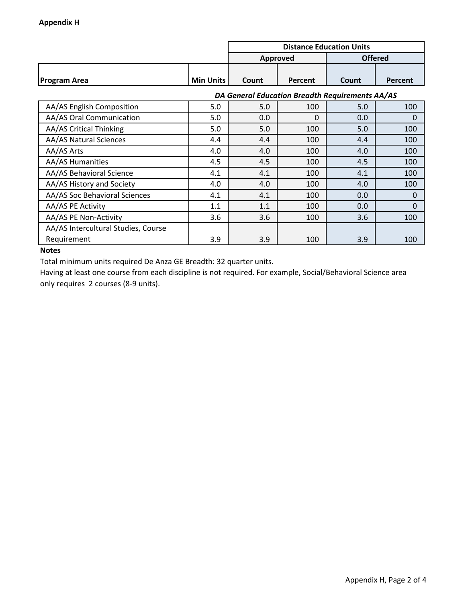|                                     |                                                 | <b>Distance Education Units</b> |          |                |          |  |
|-------------------------------------|-------------------------------------------------|---------------------------------|----------|----------------|----------|--|
|                                     |                                                 | Approved                        |          | <b>Offered</b> |          |  |
| <b>Program Area</b>                 | <b>Min Units</b>                                | Count                           | Percent  | Count          | Percent  |  |
|                                     | DA General Education Breadth Requirements AA/AS |                                 |          |                |          |  |
| AA/AS English Composition           | 5.0                                             | 5.0                             | 100      | 5.0            | 100      |  |
| AA/AS Oral Communication            | 5.0                                             | 0.0                             | $\Omega$ | 0.0            | $\Omega$ |  |
| AA/AS Critical Thinking             | 5.0                                             | 5.0                             | 100      | 5.0            | 100      |  |
| AA/AS Natural Sciences              | 4.4                                             | 4.4                             | 100      | 4.4            | 100      |  |
| AA/AS Arts                          | 4.0                                             | 4.0                             | 100      | 4.0            | 100      |  |
| <b>AA/AS Humanities</b>             | 4.5                                             | 4.5                             | 100      | 4.5            | 100      |  |
| AA/AS Behavioral Science            | 4.1                                             | 4.1                             | 100      | 4.1            | 100      |  |
| AA/AS History and Society           | 4.0                                             | 4.0                             | 100      | 4.0            | 100      |  |
| AA/AS Soc Behavioral Sciences       | 4.1                                             | 4.1                             | 100      | 0.0            | $\Omega$ |  |
| AA/AS PE Activity                   | 1.1                                             | 1.1                             | 100      | 0.0            | $\Omega$ |  |
| AA/AS PE Non-Activity               | 3.6                                             | 3.6                             | 100      | 3.6            | 100      |  |
| AA/AS Intercultural Studies, Course |                                                 |                                 |          |                |          |  |
| Requirement                         | 3.9                                             | 3.9                             | 100      | 3.9            | 100      |  |

Total minimum units required De Anza GE Breadth: 32 quarter units.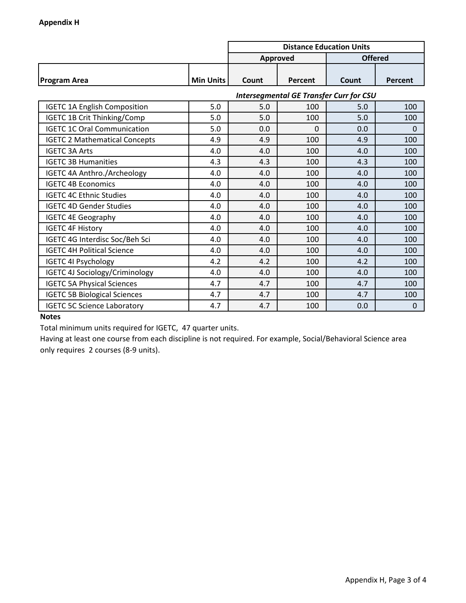|                                       |                  | <b>Distance Education Units</b> |                 |                                                |                |
|---------------------------------------|------------------|---------------------------------|-----------------|------------------------------------------------|----------------|
|                                       |                  |                                 | <b>Approved</b> |                                                | <b>Offered</b> |
| <b>Program Area</b>                   | <b>Min Units</b> | Count                           | <b>Percent</b>  | Count                                          | Percent        |
|                                       |                  |                                 |                 | <b>Intersegmental GE Transfer Curr for CSU</b> |                |
| <b>IGETC 1A English Composition</b>   | 5.0              | 5.0                             | 100             | 5.0                                            | 100            |
| <b>IGETC 1B Crit Thinking/Comp</b>    | 5.0              | 5.0                             | 100             | 5.0                                            | 100            |
| <b>IGETC 1C Oral Communication</b>    | 5.0              | 0.0                             | 0               | 0.0                                            | 0              |
| <b>IGETC 2 Mathematical Concepts</b>  | 4.9              | 4.9                             | 100             | 4.9                                            | 100            |
| <b>IGETC 3A Arts</b>                  | 4.0              | 4.0                             | 100             | 4.0                                            | 100            |
| <b>IGETC 3B Humanities</b>            | 4.3              | 4.3                             | 100             | 4.3                                            | 100            |
| IGETC 4A Anthro./Archeology           | 4.0              | 4.0                             | 100             | 4.0                                            | 100            |
| <b>IGETC 4B Economics</b>             | 4.0              | 4.0                             | 100             | 4.0                                            | 100            |
| <b>IGETC 4C Ethnic Studies</b>        | 4.0              | 4.0                             | 100             | 4.0                                            | 100            |
| <b>IGETC 4D Gender Studies</b>        | 4.0              | 4.0                             | 100             | 4.0                                            | 100            |
| <b>IGETC 4E Geography</b>             | 4.0              | 4.0                             | 100             | 4.0                                            | 100            |
| <b>IGETC 4F History</b>               | 4.0              | 4.0                             | 100             | 4.0                                            | 100            |
| IGETC 4G Interdisc Soc/Beh Sci        | 4.0              | 4.0                             | 100             | 4.0                                            | 100            |
| <b>IGETC 4H Political Science</b>     | 4.0              | 4.0                             | 100             | 4.0                                            | 100            |
| <b>IGETC 4I Psychology</b>            | 4.2              | 4.2                             | 100             | 4.2                                            | 100            |
| <b>IGETC 4J Sociology/Criminology</b> | 4.0              | 4.0                             | 100             | 4.0                                            | 100            |
| <b>IGETC 5A Physical Sciences</b>     | 4.7              | 4.7                             | 100             | 4.7                                            | 100            |
| <b>IGETC 5B Biological Sciences</b>   | 4.7              | 4.7                             | 100             | 4.7                                            | 100            |
| <b>IGETC 5C Science Laboratory</b>    | 4.7              | 4.7                             | 100             | 0.0                                            | 0              |

Total minimum units required for IGETC, 47 quarter units.